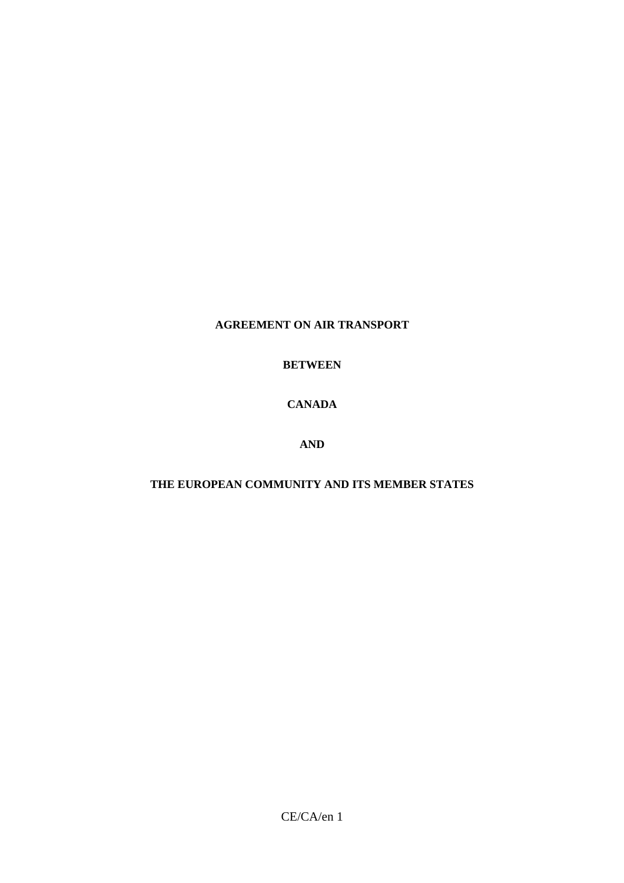# **AGREEMENT ON AIR TRANSPORT**

# **BETWEEN**

# **CANADA**

# **AND**

# **THE EUROPEAN COMMUNITY AND ITS MEMBER STATES**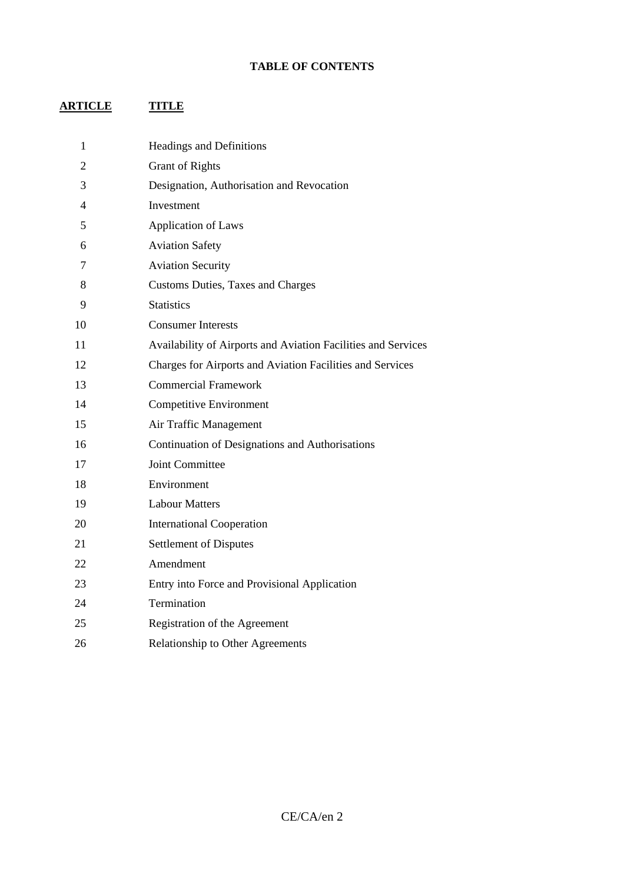# **TABLE OF CONTENTS**

# **ARTICLE TITLE**

| 1              | <b>Headings and Definitions</b>                               |
|----------------|---------------------------------------------------------------|
| $\overline{2}$ | <b>Grant of Rights</b>                                        |
| 3              | Designation, Authorisation and Revocation                     |
| $\overline{4}$ | Investment                                                    |
| 5              | <b>Application of Laws</b>                                    |
| 6              | <b>Aviation Safety</b>                                        |
| 7              | <b>Aviation Security</b>                                      |
| 8              | <b>Customs Duties, Taxes and Charges</b>                      |
| 9              | <b>Statistics</b>                                             |
| 10             | <b>Consumer Interests</b>                                     |
| 11             | Availability of Airports and Aviation Facilities and Services |
| 12             | Charges for Airports and Aviation Facilities and Services     |
| 13             | <b>Commercial Framework</b>                                   |
| 14             | Competitive Environment                                       |
| 15             | Air Traffic Management                                        |
| 16             | Continuation of Designations and Authorisations               |
| 17             | <b>Joint Committee</b>                                        |
| 18             | Environment                                                   |
| 19             | <b>Labour Matters</b>                                         |
| 20             | <b>International Cooperation</b>                              |
| 21             | <b>Settlement of Disputes</b>                                 |
| 22             | Amendment                                                     |
| 23             | Entry into Force and Provisional Application                  |
| 24             | Termination                                                   |
| 25             | Registration of the Agreement                                 |
| 26             | <b>Relationship to Other Agreements</b>                       |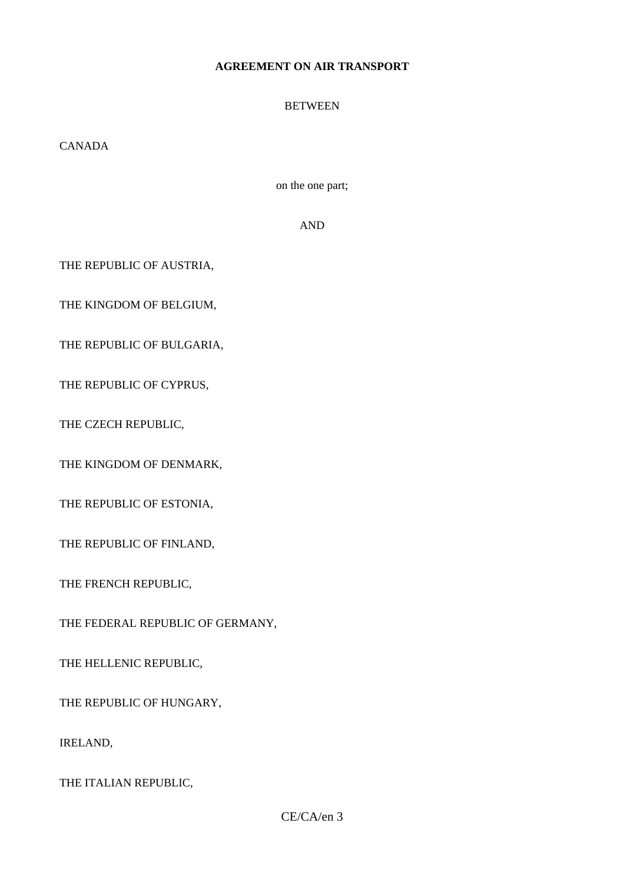## **AGREEMENT ON AIR TRANSPORT**

## **BETWEEN**

CANADA

on the one part;

AND

THE REPUBLIC OF AUSTRIA,

THE KINGDOM OF BELGIUM,

THE REPUBLIC OF BULGARIA,

THE REPUBLIC OF CYPRUS,

THE CZECH REPUBLIC,

THE KINGDOM OF DENMARK,

THE REPUBLIC OF ESTONIA,

THE REPUBLIC OF FINLAND,

THE FRENCH REPUBLIC,

THE FEDERAL REPUBLIC OF GERMANY,

THE HELLENIC REPUBLIC,

THE REPUBLIC OF HUNGARY,

IRELAND,

THE ITALIAN REPUBLIC,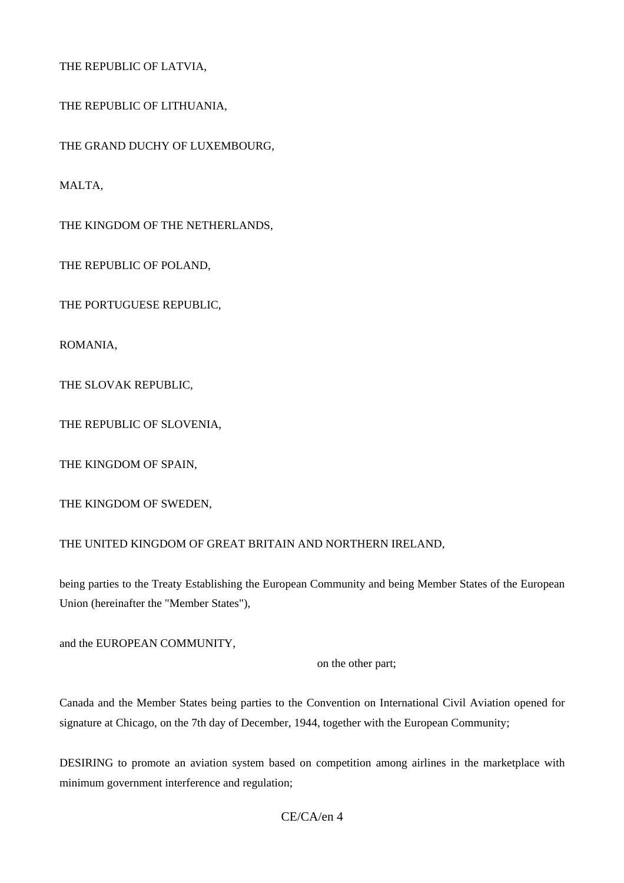THE REPUBLIC OF LATVIA,

THE REPUBLIC OF LITHUANIA,

THE GRAND DUCHY OF LUXEMBOURG,

MALTA,

THE KINGDOM OF THE NETHERLANDS,

THE REPUBLIC OF POLAND,

THE PORTUGUESE REPUBLIC,

ROMANIA,

THE SLOVAK REPUBLIC,

THE REPUBLIC OF SLOVENIA,

THE KINGDOM OF SPAIN,

THE KINGDOM OF SWEDEN,

### THE UNITED KINGDOM OF GREAT BRITAIN AND NORTHERN IRELAND,

being parties to the Treaty Establishing the European Community and being Member States of the European Union (hereinafter the "Member States"),

and the EUROPEAN COMMUNITY,

on the other part;

Canada and the Member States being parties to the Convention on International Civil Aviation opened for signature at Chicago, on the 7th day of December, 1944, together with the European Community;

DESIRING to promote an aviation system based on competition among airlines in the marketplace with minimum government interference and regulation;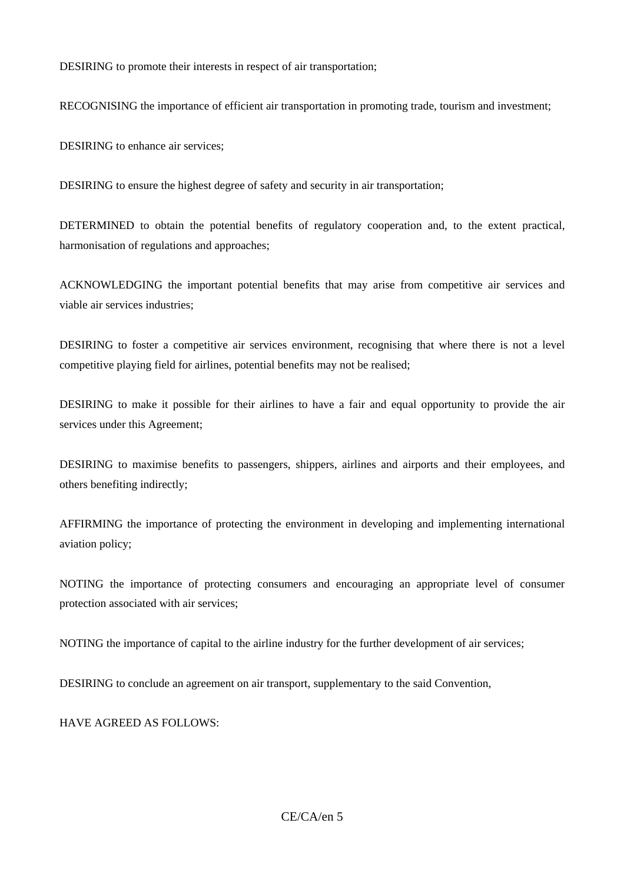DESIRING to promote their interests in respect of air transportation;

RECOGNISING the importance of efficient air transportation in promoting trade, tourism and investment;

DESIRING to enhance air services;

DESIRING to ensure the highest degree of safety and security in air transportation;

DETERMINED to obtain the potential benefits of regulatory cooperation and, to the extent practical, harmonisation of regulations and approaches;

ACKNOWLEDGING the important potential benefits that may arise from competitive air services and viable air services industries;

DESIRING to foster a competitive air services environment, recognising that where there is not a level competitive playing field for airlines, potential benefits may not be realised;

DESIRING to make it possible for their airlines to have a fair and equal opportunity to provide the air services under this Agreement;

DESIRING to maximise benefits to passengers, shippers, airlines and airports and their employees, and others benefiting indirectly;

AFFIRMING the importance of protecting the environment in developing and implementing international aviation policy;

NOTING the importance of protecting consumers and encouraging an appropriate level of consumer protection associated with air services;

NOTING the importance of capital to the airline industry for the further development of air services;

DESIRING to conclude an agreement on air transport, supplementary to the said Convention,

HAVE AGREED AS FOLLOWS: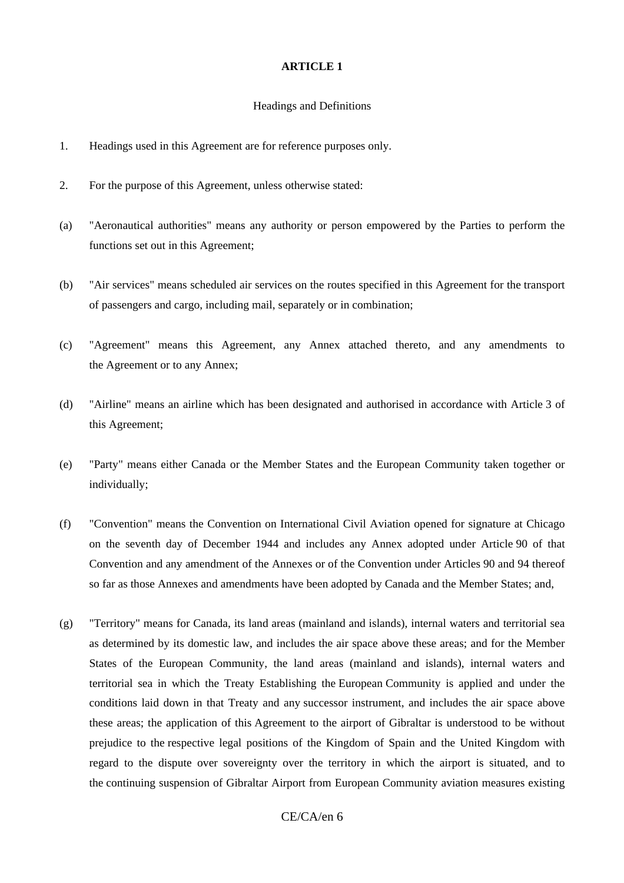#### Headings and Definitions

- 1. Headings used in this Agreement are for reference purposes only.
- 2. For the purpose of this Agreement, unless otherwise stated:
- (a) "Aeronautical authorities" means any authority or person empowered by the Parties to perform the functions set out in this Agreement;
- (b) "Air services" means scheduled air services on the routes specified in this Agreement for the transport of passengers and cargo, including mail, separately or in combination;
- (c) "Agreement" means this Agreement, any Annex attached thereto, and any amendments to the Agreement or to any Annex;
- (d) "Airline" means an airline which has been designated and authorised in accordance with Article 3 of this Agreement;
- (e) "Party" means either Canada or the Member States and the European Community taken together or individually;
- (f) "Convention" means the Convention on International Civil Aviation opened for signature at Chicago on the seventh day of December 1944 and includes any Annex adopted under Article 90 of that Convention and any amendment of the Annexes or of the Convention under Articles 90 and 94 thereof so far as those Annexes and amendments have been adopted by Canada and the Member States; and,
- (g) "Territory" means for Canada, its land areas (mainland and islands), internal waters and territorial sea as determined by its domestic law, and includes the air space above these areas; and for the Member States of the European Community, the land areas (mainland and islands), internal waters and territorial sea in which the Treaty Establishing the European Community is applied and under the conditions laid down in that Treaty and any successor instrument, and includes the air space above these areas; the application of this Agreement to the airport of Gibraltar is understood to be without prejudice to the respective legal positions of the Kingdom of Spain and the United Kingdom with regard to the dispute over sovereignty over the territory in which the airport is situated, and to the continuing suspension of Gibraltar Airport from European Community aviation measures existing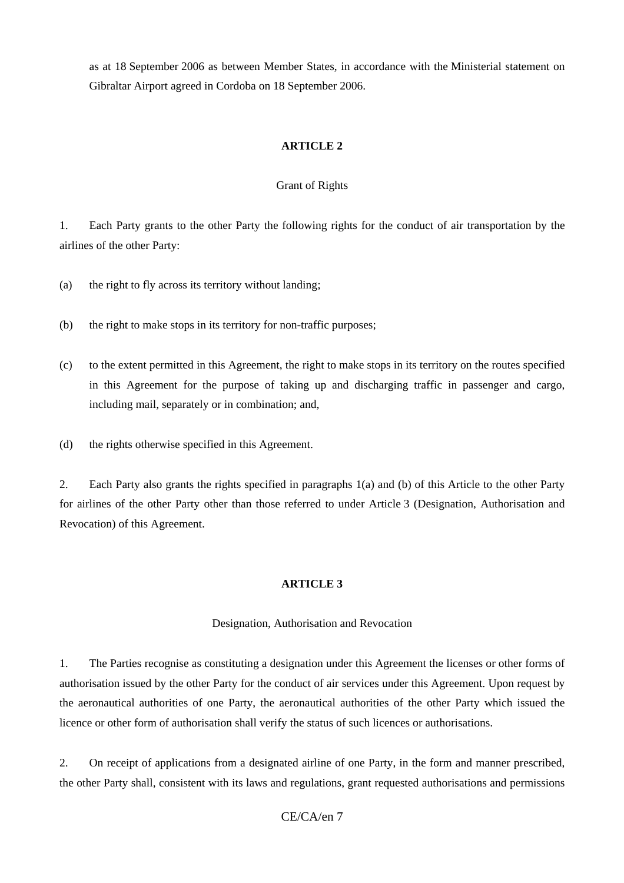as at 18 September 2006 as between Member States, in accordance with the Ministerial statement on Gibraltar Airport agreed in Cordoba on 18 September 2006.

## **ARTICLE 2**

### Grant of Rights

1. Each Party grants to the other Party the following rights for the conduct of air transportation by the airlines of the other Party:

(a) the right to fly across its territory without landing;

- (b) the right to make stops in its territory for non-traffic purposes;
- (c) to the extent permitted in this Agreement, the right to make stops in its territory on the routes specified in this Agreement for the purpose of taking up and discharging traffic in passenger and cargo, including mail, separately or in combination; and,
- (d) the rights otherwise specified in this Agreement.

2. Each Party also grants the rights specified in paragraphs 1(a) and (b) of this Article to the other Party for airlines of the other Party other than those referred to under Article 3 (Designation, Authorisation and Revocation) of this Agreement.

## **ARTICLE 3**

### Designation, Authorisation and Revocation

1. The Parties recognise as constituting a designation under this Agreement the licenses or other forms of authorisation issued by the other Party for the conduct of air services under this Agreement. Upon request by the aeronautical authorities of one Party, the aeronautical authorities of the other Party which issued the licence or other form of authorisation shall verify the status of such licences or authorisations.

2. On receipt of applications from a designated airline of one Party, in the form and manner prescribed, the other Party shall, consistent with its laws and regulations, grant requested authorisations and permissions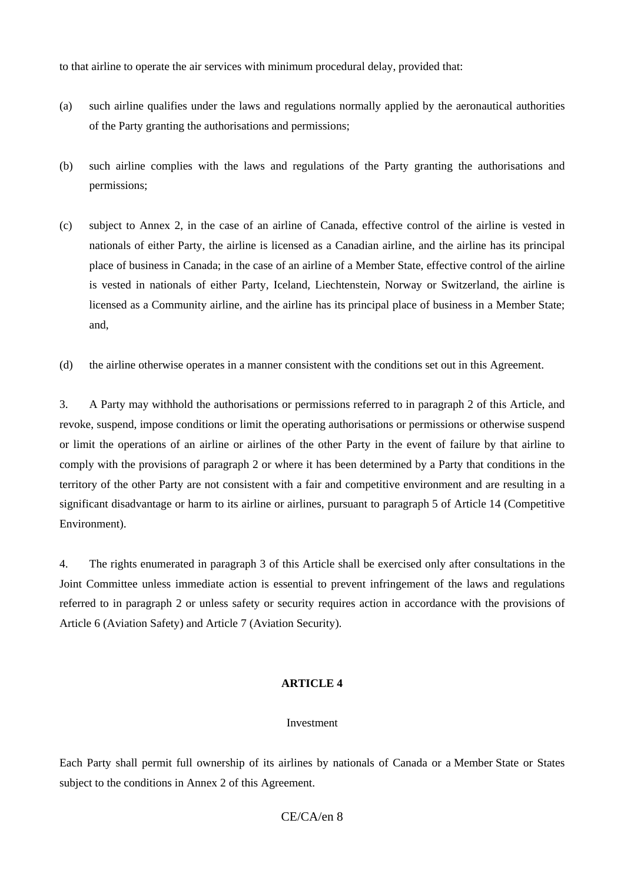to that airline to operate the air services with minimum procedural delay, provided that:

- (a) such airline qualifies under the laws and regulations normally applied by the aeronautical authorities of the Party granting the authorisations and permissions;
- (b) such airline complies with the laws and regulations of the Party granting the authorisations and permissions;
- (c) subject to Annex 2, in the case of an airline of Canada, effective control of the airline is vested in nationals of either Party, the airline is licensed as a Canadian airline, and the airline has its principal place of business in Canada; in the case of an airline of a Member State, effective control of the airline is vested in nationals of either Party, Iceland, Liechtenstein, Norway or Switzerland, the airline is licensed as a Community airline, and the airline has its principal place of business in a Member State; and,
- (d) the airline otherwise operates in a manner consistent with the conditions set out in this Agreement.

3. A Party may withhold the authorisations or permissions referred to in paragraph 2 of this Article, and revoke, suspend, impose conditions or limit the operating authorisations or permissions or otherwise suspend or limit the operations of an airline or airlines of the other Party in the event of failure by that airline to comply with the provisions of paragraph 2 or where it has been determined by a Party that conditions in the territory of the other Party are not consistent with a fair and competitive environment and are resulting in a significant disadvantage or harm to its airline or airlines, pursuant to paragraph 5 of Article 14 (Competitive Environment).

4. The rights enumerated in paragraph 3 of this Article shall be exercised only after consultations in the Joint Committee unless immediate action is essential to prevent infringement of the laws and regulations referred to in paragraph 2 or unless safety or security requires action in accordance with the provisions of Article 6 (Aviation Safety) and Article 7 (Aviation Security).

## **ARTICLE 4**

### Investment

Each Party shall permit full ownership of its airlines by nationals of Canada or a Member State or States subject to the conditions in Annex 2 of this Agreement.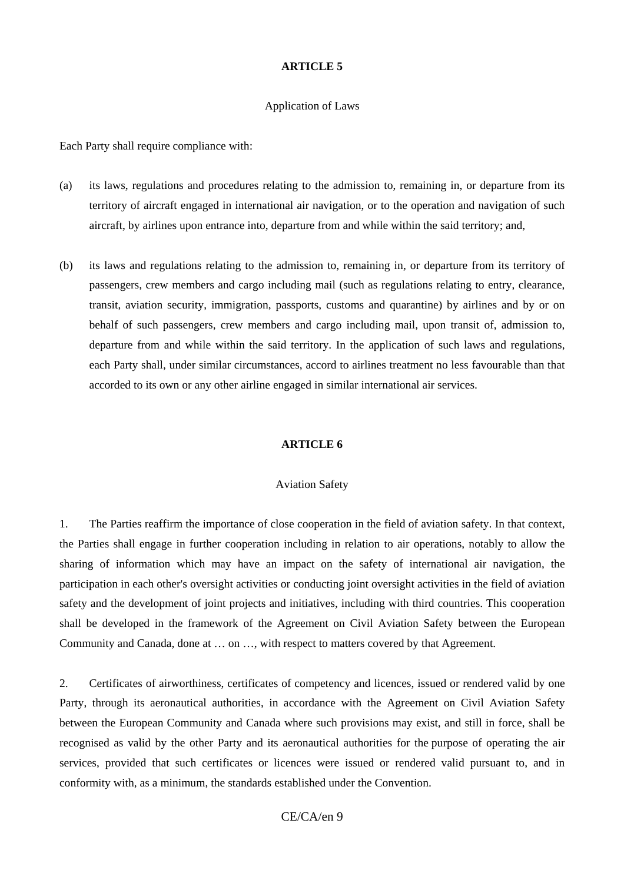#### Application of Laws

Each Party shall require compliance with:

- (a) its laws, regulations and procedures relating to the admission to, remaining in, or departure from its territory of aircraft engaged in international air navigation, or to the operation and navigation of such aircraft, by airlines upon entrance into, departure from and while within the said territory; and,
- (b) its laws and regulations relating to the admission to, remaining in, or departure from its territory of passengers, crew members and cargo including mail (such as regulations relating to entry, clearance, transit, aviation security, immigration, passports, customs and quarantine) by airlines and by or on behalf of such passengers, crew members and cargo including mail, upon transit of, admission to, departure from and while within the said territory. In the application of such laws and regulations, each Party shall, under similar circumstances, accord to airlines treatment no less favourable than that accorded to its own or any other airline engaged in similar international air services.

#### **ARTICLE 6**

#### Aviation Safety

1. The Parties reaffirm the importance of close cooperation in the field of aviation safety. In that context, the Parties shall engage in further cooperation including in relation to air operations, notably to allow the sharing of information which may have an impact on the safety of international air navigation, the participation in each other's oversight activities or conducting joint oversight activities in the field of aviation safety and the development of joint projects and initiatives, including with third countries. This cooperation shall be developed in the framework of the Agreement on Civil Aviation Safety between the European Community and Canada, done at … on …, with respect to matters covered by that Agreement.

2. Certificates of airworthiness, certificates of competency and licences, issued or rendered valid by one Party, through its aeronautical authorities, in accordance with the Agreement on Civil Aviation Safety between the European Community and Canada where such provisions may exist, and still in force, shall be recognised as valid by the other Party and its aeronautical authorities for the purpose of operating the air services, provided that such certificates or licences were issued or rendered valid pursuant to, and in conformity with, as a minimum, the standards established under the Convention.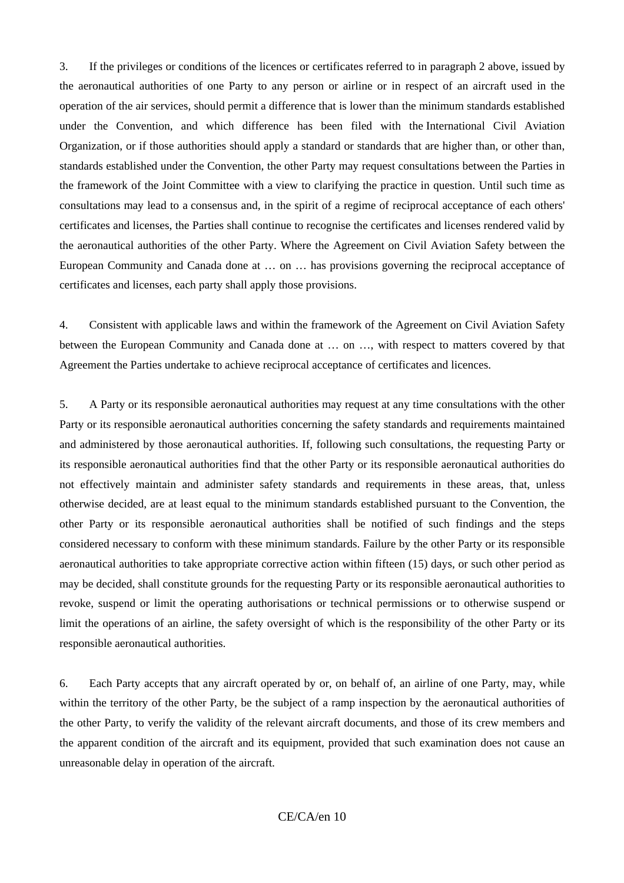3. If the privileges or conditions of the licences or certificates referred to in paragraph 2 above, issued by the aeronautical authorities of one Party to any person or airline or in respect of an aircraft used in the operation of the air services, should permit a difference that is lower than the minimum standards established under the Convention, and which difference has been filed with the International Civil Aviation Organization, or if those authorities should apply a standard or standards that are higher than, or other than, standards established under the Convention, the other Party may request consultations between the Parties in the framework of the Joint Committee with a view to clarifying the practice in question. Until such time as consultations may lead to a consensus and, in the spirit of a regime of reciprocal acceptance of each others' certificates and licenses, the Parties shall continue to recognise the certificates and licenses rendered valid by the aeronautical authorities of the other Party. Where the Agreement on Civil Aviation Safety between the European Community and Canada done at … on … has provisions governing the reciprocal acceptance of certificates and licenses, each party shall apply those provisions.

4. Consistent with applicable laws and within the framework of the Agreement on Civil Aviation Safety between the European Community and Canada done at … on …, with respect to matters covered by that Agreement the Parties undertake to achieve reciprocal acceptance of certificates and licences.

5. A Party or its responsible aeronautical authorities may request at any time consultations with the other Party or its responsible aeronautical authorities concerning the safety standards and requirements maintained and administered by those aeronautical authorities. If, following such consultations, the requesting Party or its responsible aeronautical authorities find that the other Party or its responsible aeronautical authorities do not effectively maintain and administer safety standards and requirements in these areas, that, unless otherwise decided, are at least equal to the minimum standards established pursuant to the Convention, the other Party or its responsible aeronautical authorities shall be notified of such findings and the steps considered necessary to conform with these minimum standards. Failure by the other Party or its responsible aeronautical authorities to take appropriate corrective action within fifteen (15) days, or such other period as may be decided, shall constitute grounds for the requesting Party or its responsible aeronautical authorities to revoke, suspend or limit the operating authorisations or technical permissions or to otherwise suspend or limit the operations of an airline, the safety oversight of which is the responsibility of the other Party or its responsible aeronautical authorities.

6. Each Party accepts that any aircraft operated by or, on behalf of, an airline of one Party, may, while within the territory of the other Party, be the subject of a ramp inspection by the aeronautical authorities of the other Party, to verify the validity of the relevant aircraft documents, and those of its crew members and the apparent condition of the aircraft and its equipment, provided that such examination does not cause an unreasonable delay in operation of the aircraft.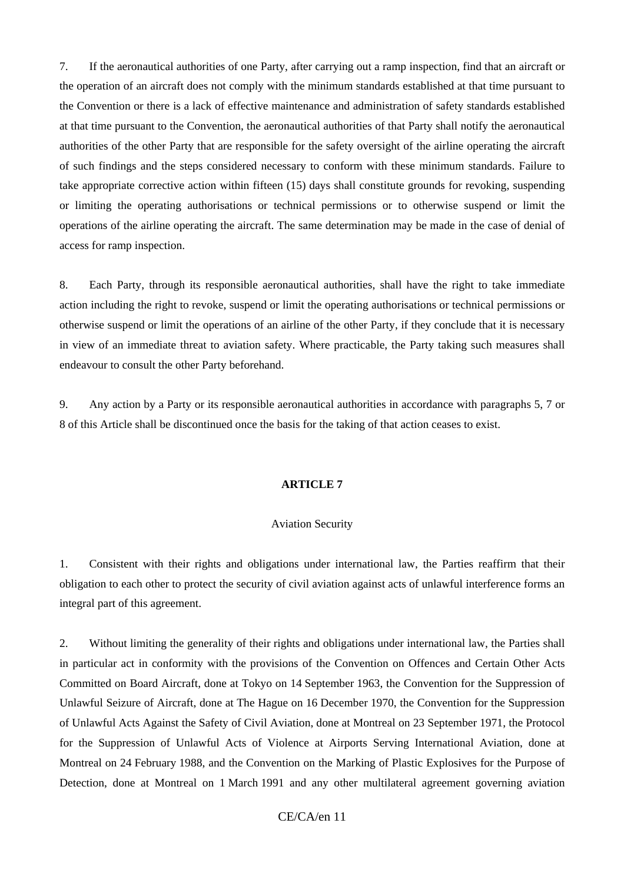7. If the aeronautical authorities of one Party, after carrying out a ramp inspection, find that an aircraft or the operation of an aircraft does not comply with the minimum standards established at that time pursuant to the Convention or there is a lack of effective maintenance and administration of safety standards established at that time pursuant to the Convention, the aeronautical authorities of that Party shall notify the aeronautical authorities of the other Party that are responsible for the safety oversight of the airline operating the aircraft of such findings and the steps considered necessary to conform with these minimum standards. Failure to take appropriate corrective action within fifteen (15) days shall constitute grounds for revoking, suspending or limiting the operating authorisations or technical permissions or to otherwise suspend or limit the operations of the airline operating the aircraft. The same determination may be made in the case of denial of access for ramp inspection.

8. Each Party, through its responsible aeronautical authorities, shall have the right to take immediate action including the right to revoke, suspend or limit the operating authorisations or technical permissions or otherwise suspend or limit the operations of an airline of the other Party, if they conclude that it is necessary in view of an immediate threat to aviation safety. Where practicable, the Party taking such measures shall endeavour to consult the other Party beforehand.

9. Any action by a Party or its responsible aeronautical authorities in accordance with paragraphs 5, 7 or 8 of this Article shall be discontinued once the basis for the taking of that action ceases to exist.

#### **ARTICLE 7**

#### Aviation Security

1. Consistent with their rights and obligations under international law, the Parties reaffirm that their obligation to each other to protect the security of civil aviation against acts of unlawful interference forms an integral part of this agreement.

2. Without limiting the generality of their rights and obligations under international law, the Parties shall in particular act in conformity with the provisions of the Convention on Offences and Certain Other Acts Committed on Board Aircraft, done at Tokyo on 14 September 1963, the Convention for the Suppression of Unlawful Seizure of Aircraft, done at The Hague on 16 December 1970, the Convention for the Suppression of Unlawful Acts Against the Safety of Civil Aviation, done at Montreal on 23 September 1971, the Protocol for the Suppression of Unlawful Acts of Violence at Airports Serving International Aviation, done at Montreal on 24 February 1988, and the Convention on the Marking of Plastic Explosives for the Purpose of Detection, done at Montreal on 1 March 1991 and any other multilateral agreement governing aviation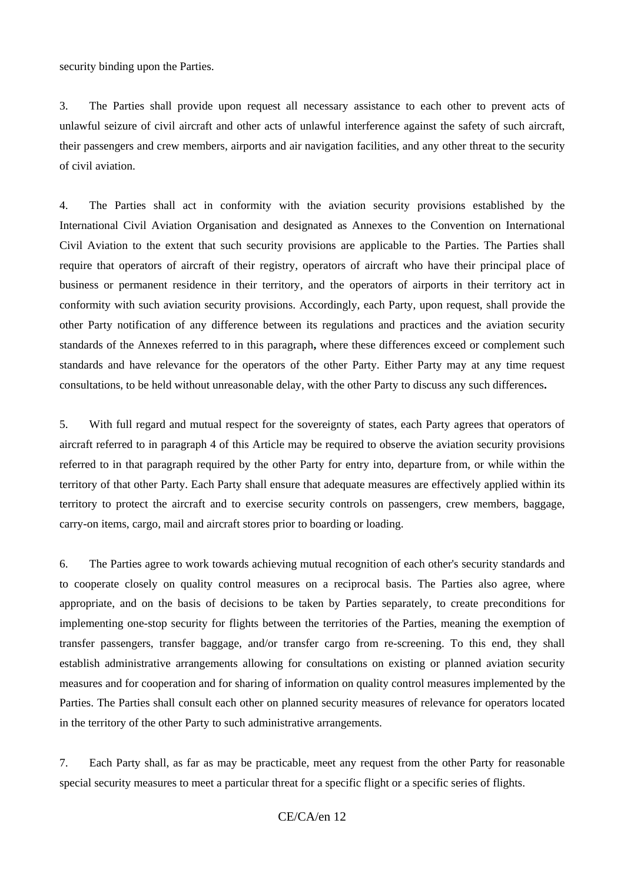security binding upon the Parties.

3. The Parties shall provide upon request all necessary assistance to each other to prevent acts of unlawful seizure of civil aircraft and other acts of unlawful interference against the safety of such aircraft, their passengers and crew members, airports and air navigation facilities, and any other threat to the security of civil aviation.

4. The Parties shall act in conformity with the aviation security provisions established by the International Civil Aviation Organisation and designated as Annexes to the Convention on International Civil Aviation to the extent that such security provisions are applicable to the Parties. The Parties shall require that operators of aircraft of their registry, operators of aircraft who have their principal place of business or permanent residence in their territory, and the operators of airports in their territory act in conformity with such aviation security provisions. Accordingly, each Party, upon request, shall provide the other Party notification of any difference between its regulations and practices and the aviation security standards of the Annexes referred to in this paragraph**,** where these differences exceed or complement such standards and have relevance for the operators of the other Party. Either Party may at any time request consultations, to be held without unreasonable delay, with the other Party to discuss any such differences**.**

5. With full regard and mutual respect for the sovereignty of states, each Party agrees that operators of aircraft referred to in paragraph 4 of this Article may be required to observe the aviation security provisions referred to in that paragraph required by the other Party for entry into, departure from, or while within the territory of that other Party. Each Party shall ensure that adequate measures are effectively applied within its territory to protect the aircraft and to exercise security controls on passengers, crew members, baggage, carry-on items, cargo, mail and aircraft stores prior to boarding or loading.

6. The Parties agree to work towards achieving mutual recognition of each other's security standards and to cooperate closely on quality control measures on a reciprocal basis. The Parties also agree, where appropriate, and on the basis of decisions to be taken by Parties separately, to create preconditions for implementing one-stop security for flights between the territories of the Parties, meaning the exemption of transfer passengers, transfer baggage, and/or transfer cargo from re-screening. To this end, they shall establish administrative arrangements allowing for consultations on existing or planned aviation security measures and for cooperation and for sharing of information on quality control measures implemented by the Parties. The Parties shall consult each other on planned security measures of relevance for operators located in the territory of the other Party to such administrative arrangements.

7. Each Party shall, as far as may be practicable, meet any request from the other Party for reasonable special security measures to meet a particular threat for a specific flight or a specific series of flights.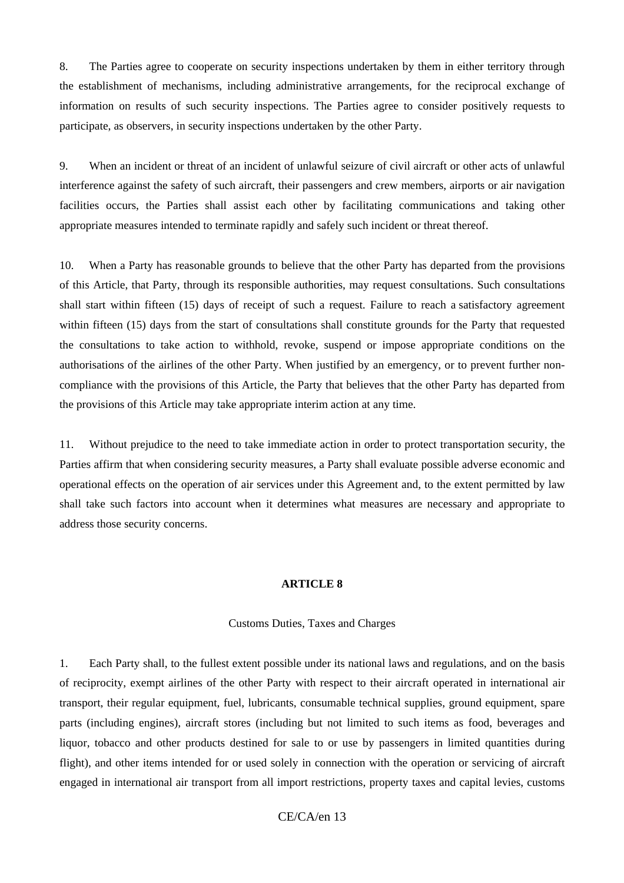8. The Parties agree to cooperate on security inspections undertaken by them in either territory through the establishment of mechanisms, including administrative arrangements, for the reciprocal exchange of information on results of such security inspections. The Parties agree to consider positively requests to participate, as observers, in security inspections undertaken by the other Party.

9. When an incident or threat of an incident of unlawful seizure of civil aircraft or other acts of unlawful interference against the safety of such aircraft, their passengers and crew members, airports or air navigation facilities occurs, the Parties shall assist each other by facilitating communications and taking other appropriate measures intended to terminate rapidly and safely such incident or threat thereof.

10. When a Party has reasonable grounds to believe that the other Party has departed from the provisions of this Article, that Party, through its responsible authorities, may request consultations. Such consultations shall start within fifteen (15) days of receipt of such a request. Failure to reach a satisfactory agreement within fifteen (15) days from the start of consultations shall constitute grounds for the Party that requested the consultations to take action to withhold, revoke, suspend or impose appropriate conditions on the authorisations of the airlines of the other Party. When justified by an emergency, or to prevent further noncompliance with the provisions of this Article, the Party that believes that the other Party has departed from the provisions of this Article may take appropriate interim action at any time.

11. Without prejudice to the need to take immediate action in order to protect transportation security, the Parties affirm that when considering security measures, a Party shall evaluate possible adverse economic and operational effects on the operation of air services under this Agreement and, to the extent permitted by law shall take such factors into account when it determines what measures are necessary and appropriate to address those security concerns.

#### **ARTICLE 8**

#### Customs Duties, Taxes and Charges

1. Each Party shall, to the fullest extent possible under its national laws and regulations, and on the basis of reciprocity, exempt airlines of the other Party with respect to their aircraft operated in international air transport, their regular equipment, fuel, lubricants, consumable technical supplies, ground equipment, spare parts (including engines), aircraft stores (including but not limited to such items as food, beverages and liquor, tobacco and other products destined for sale to or use by passengers in limited quantities during flight), and other items intended for or used solely in connection with the operation or servicing of aircraft engaged in international air transport from all import restrictions, property taxes and capital levies, customs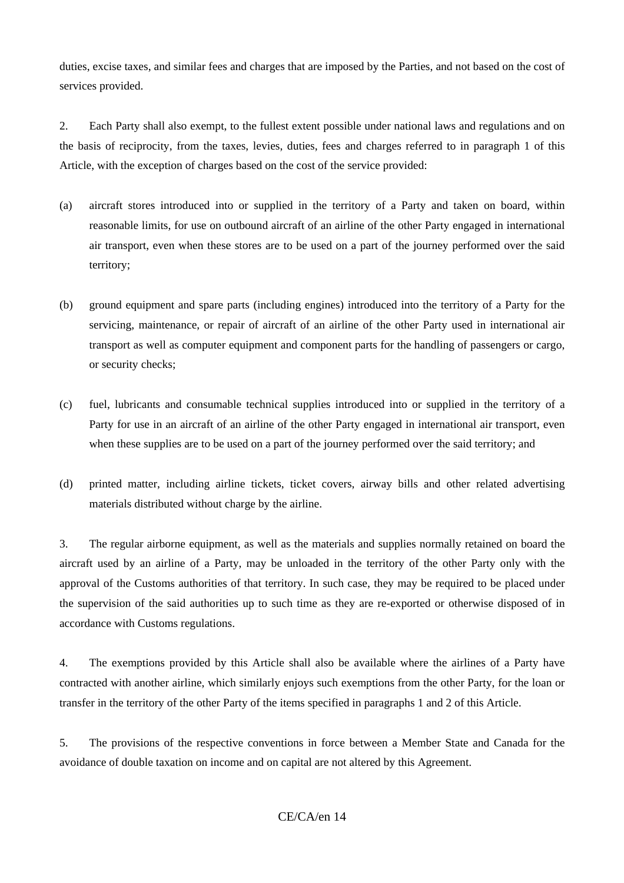duties, excise taxes, and similar fees and charges that are imposed by the Parties, and not based on the cost of services provided.

2. Each Party shall also exempt, to the fullest extent possible under national laws and regulations and on the basis of reciprocity, from the taxes, levies, duties, fees and charges referred to in paragraph 1 of this Article, with the exception of charges based on the cost of the service provided:

- (a) aircraft stores introduced into or supplied in the territory of a Party and taken on board, within reasonable limits, for use on outbound aircraft of an airline of the other Party engaged in international air transport, even when these stores are to be used on a part of the journey performed over the said territory;
- (b) ground equipment and spare parts (including engines) introduced into the territory of a Party for the servicing, maintenance, or repair of aircraft of an airline of the other Party used in international air transport as well as computer equipment and component parts for the handling of passengers or cargo, or security checks;
- (c) fuel, lubricants and consumable technical supplies introduced into or supplied in the territory of a Party for use in an aircraft of an airline of the other Party engaged in international air transport, even when these supplies are to be used on a part of the journey performed over the said territory; and
- (d) printed matter, including airline tickets, ticket covers, airway bills and other related advertising materials distributed without charge by the airline.

3. The regular airborne equipment, as well as the materials and supplies normally retained on board the aircraft used by an airline of a Party, may be unloaded in the territory of the other Party only with the approval of the Customs authorities of that territory. In such case, they may be required to be placed under the supervision of the said authorities up to such time as they are re-exported or otherwise disposed of in accordance with Customs regulations.

4. The exemptions provided by this Article shall also be available where the airlines of a Party have contracted with another airline, which similarly enjoys such exemptions from the other Party, for the loan or transfer in the territory of the other Party of the items specified in paragraphs 1 and 2 of this Article.

5. The provisions of the respective conventions in force between a Member State and Canada for the avoidance of double taxation on income and on capital are not altered by this Agreement.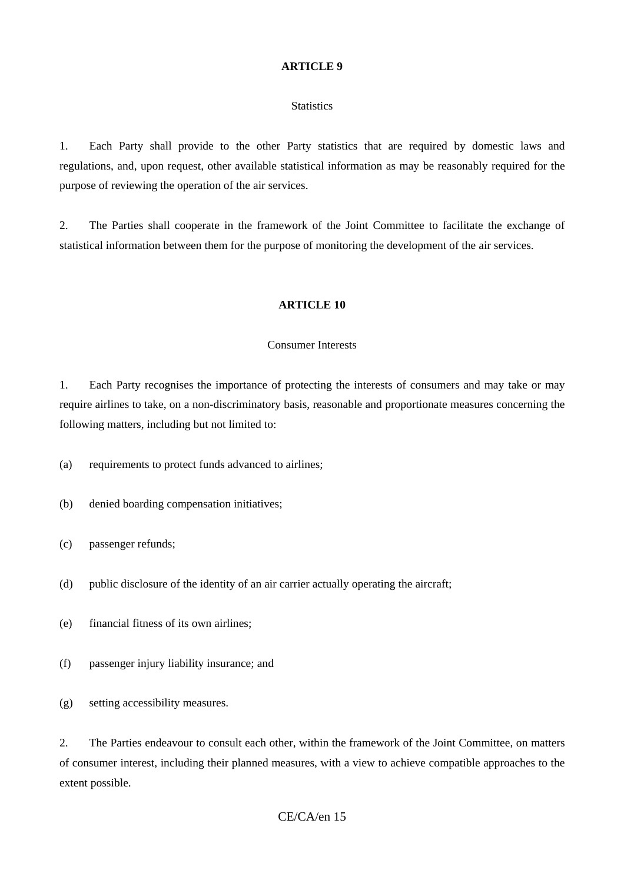#### **Statistics**

1. Each Party shall provide to the other Party statistics that are required by domestic laws and regulations, and, upon request, other available statistical information as may be reasonably required for the purpose of reviewing the operation of the air services.

2. The Parties shall cooperate in the framework of the Joint Committee to facilitate the exchange of statistical information between them for the purpose of monitoring the development of the air services.

#### **ARTICLE 10**

#### Consumer Interests

1. Each Party recognises the importance of protecting the interests of consumers and may take or may require airlines to take, on a non-discriminatory basis, reasonable and proportionate measures concerning the following matters, including but not limited to:

(a) requirements to protect funds advanced to airlines;

- (b) denied boarding compensation initiatives;
- (c) passenger refunds;
- (d) public disclosure of the identity of an air carrier actually operating the aircraft;
- (e) financial fitness of its own airlines;
- (f) passenger injury liability insurance; and
- (g) setting accessibility measures.

2. The Parties endeavour to consult each other, within the framework of the Joint Committee, on matters of consumer interest, including their planned measures, with a view to achieve compatible approaches to the extent possible.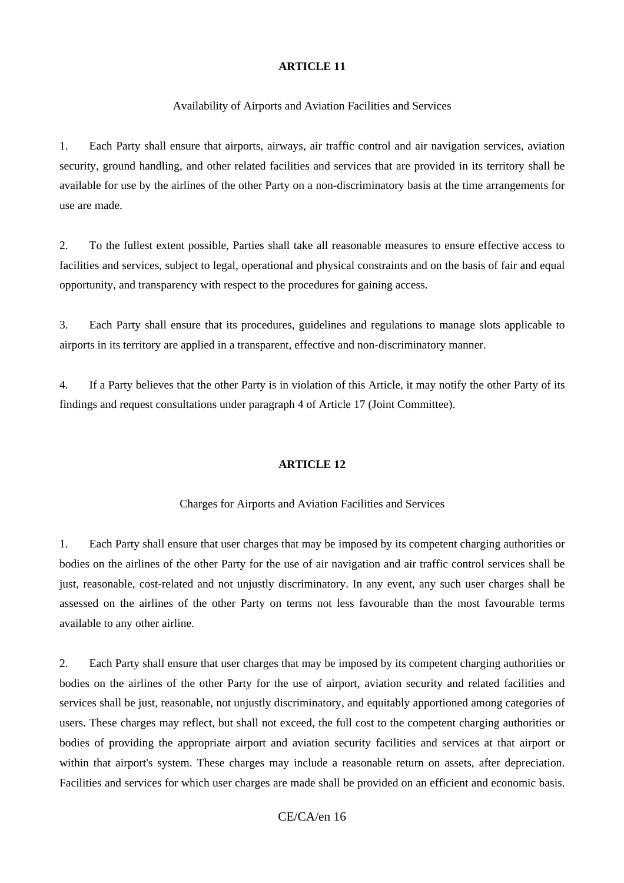Availability of Airports and Aviation Facilities and Services

1. Each Party shall ensure that airports, airways, air traffic control and air navigation services, aviation security, ground handling, and other related facilities and services that are provided in its territory shall be available for use by the airlines of the other Party on a non-discriminatory basis at the time arrangements for use are made.

2. To the fullest extent possible, Parties shall take all reasonable measures to ensure effective access to facilities and services, subject to legal, operational and physical constraints and on the basis of fair and equal opportunity, and transparency with respect to the procedures for gaining access.

3. Each Party shall ensure that its procedures, guidelines and regulations to manage slots applicable to airports in its territory are applied in a transparent, effective and non-discriminatory manner.

4. If a Party believes that the other Party is in violation of this Article, it may notify the other Party of its findings and request consultations under paragraph 4 of Article 17 (Joint Committee).

#### **ARTICLE 12**

### Charges for Airports and Aviation Facilities and Services

1. Each Party shall ensure that user charges that may be imposed by its competent charging authorities or bodies on the airlines of the other Party for the use of air navigation and air traffic control services shall be just, reasonable, cost-related and not unjustly discriminatory. In any event, any such user charges shall be assessed on the airlines of the other Party on terms not less favourable than the most favourable terms available to any other airline.

2. Each Party shall ensure that user charges that may be imposed by its competent charging authorities or bodies on the airlines of the other Party for the use of airport, aviation security and related facilities and services shall be just, reasonable, not unjustly discriminatory, and equitably apportioned among categories of users. These charges may reflect, but shall not exceed, the full cost to the competent charging authorities or bodies of providing the appropriate airport and aviation security facilities and services at that airport or within that airport's system. These charges may include a reasonable return on assets, after depreciation. Facilities and services for which user charges are made shall be provided on an efficient and economic basis.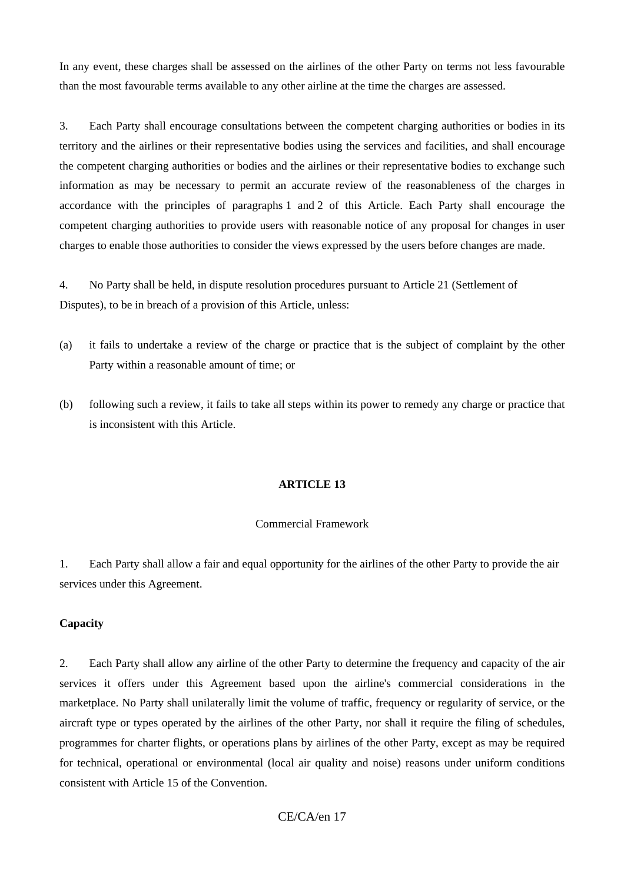In any event, these charges shall be assessed on the airlines of the other Party on terms not less favourable than the most favourable terms available to any other airline at the time the charges are assessed.

3. Each Party shall encourage consultations between the competent charging authorities or bodies in its territory and the airlines or their representative bodies using the services and facilities, and shall encourage the competent charging authorities or bodies and the airlines or their representative bodies to exchange such information as may be necessary to permit an accurate review of the reasonableness of the charges in accordance with the principles of paragraphs 1 and 2 of this Article. Each Party shall encourage the competent charging authorities to provide users with reasonable notice of any proposal for changes in user charges to enable those authorities to consider the views expressed by the users before changes are made.

4. No Party shall be held, in dispute resolution procedures pursuant to Article 21 (Settlement of Disputes), to be in breach of a provision of this Article, unless:

- (a) it fails to undertake a review of the charge or practice that is the subject of complaint by the other Party within a reasonable amount of time; or
- (b) following such a review, it fails to take all steps within its power to remedy any charge or practice that is inconsistent with this Article.

### **ARTICLE 13**

### Commercial Framework

1. Each Party shall allow a fair and equal opportunity for the airlines of the other Party to provide the air services under this Agreement.

### **Capacity**

2. Each Party shall allow any airline of the other Party to determine the frequency and capacity of the air services it offers under this Agreement based upon the airline's commercial considerations in the marketplace. No Party shall unilaterally limit the volume of traffic, frequency or regularity of service, or the aircraft type or types operated by the airlines of the other Party, nor shall it require the filing of schedules, programmes for charter flights, or operations plans by airlines of the other Party, except as may be required for technical, operational or environmental (local air quality and noise) reasons under uniform conditions consistent with Article 15 of the Convention.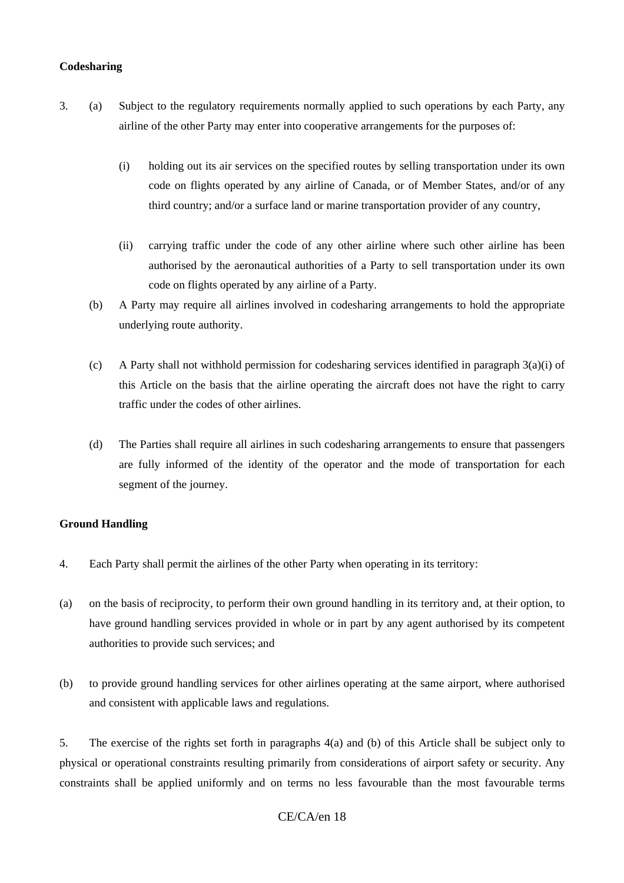### **Codesharing**

- 3. (a) Subject to the regulatory requirements normally applied to such operations by each Party, any airline of the other Party may enter into cooperative arrangements for the purposes of:
	- (i) holding out its air services on the specified routes by selling transportation under its own code on flights operated by any airline of Canada, or of Member States, and/or of any third country; and/or a surface land or marine transportation provider of any country,
	- (ii) carrying traffic under the code of any other airline where such other airline has been authorised by the aeronautical authorities of a Party to sell transportation under its own code on flights operated by any airline of a Party.
	- (b) A Party may require all airlines involved in codesharing arrangements to hold the appropriate underlying route authority.
	- (c) A Party shall not withhold permission for codesharing services identified in paragraph  $3(a)(i)$  of this Article on the basis that the airline operating the aircraft does not have the right to carry traffic under the codes of other airlines.
	- (d) The Parties shall require all airlines in such codesharing arrangements to ensure that passengers are fully informed of the identity of the operator and the mode of transportation for each segment of the journey.

### **Ground Handling**

- 4. Each Party shall permit the airlines of the other Party when operating in its territory:
- (a) on the basis of reciprocity, to perform their own ground handling in its territory and, at their option, to have ground handling services provided in whole or in part by any agent authorised by its competent authorities to provide such services; and
- (b) to provide ground handling services for other airlines operating at the same airport, where authorised and consistent with applicable laws and regulations.

5. The exercise of the rights set forth in paragraphs 4(a) and (b) of this Article shall be subject only to physical or operational constraints resulting primarily from considerations of airport safety or security. Any constraints shall be applied uniformly and on terms no less favourable than the most favourable terms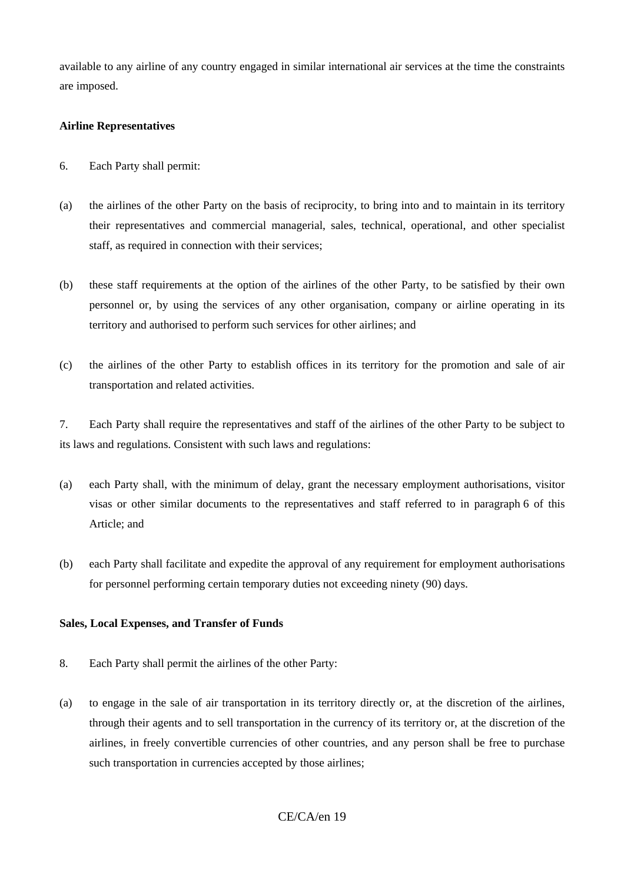available to any airline of any country engaged in similar international air services at the time the constraints are imposed.

## **Airline Representatives**

- 6. Each Party shall permit:
- (a) the airlines of the other Party on the basis of reciprocity, to bring into and to maintain in its territory their representatives and commercial managerial, sales, technical, operational, and other specialist staff, as required in connection with their services;
- (b) these staff requirements at the option of the airlines of the other Party, to be satisfied by their own personnel or, by using the services of any other organisation, company or airline operating in its territory and authorised to perform such services for other airlines; and
- (c) the airlines of the other Party to establish offices in its territory for the promotion and sale of air transportation and related activities.

7. Each Party shall require the representatives and staff of the airlines of the other Party to be subject to its laws and regulations. Consistent with such laws and regulations:

- (a) each Party shall, with the minimum of delay, grant the necessary employment authorisations, visitor visas or other similar documents to the representatives and staff referred to in paragraph 6 of this Article; and
- (b) each Party shall facilitate and expedite the approval of any requirement for employment authorisations for personnel performing certain temporary duties not exceeding ninety (90) days.

## **Sales, Local Expenses, and Transfer of Funds**

- 8. Each Party shall permit the airlines of the other Party:
- (a) to engage in the sale of air transportation in its territory directly or, at the discretion of the airlines, through their agents and to sell transportation in the currency of its territory or, at the discretion of the airlines, in freely convertible currencies of other countries, and any person shall be free to purchase such transportation in currencies accepted by those airlines;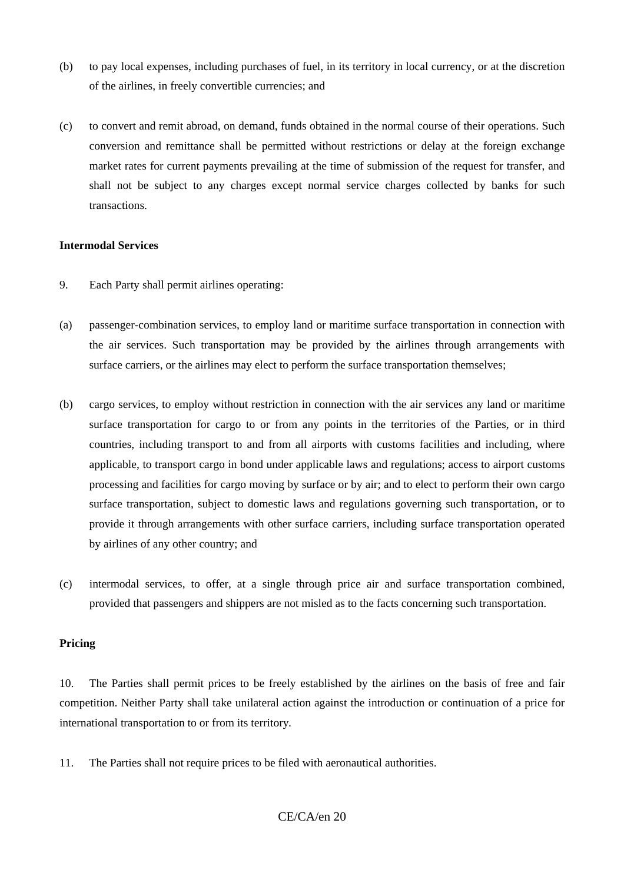- (b) to pay local expenses, including purchases of fuel, in its territory in local currency, or at the discretion of the airlines, in freely convertible currencies; and
- (c) to convert and remit abroad, on demand, funds obtained in the normal course of their operations. Such conversion and remittance shall be permitted without restrictions or delay at the foreign exchange market rates for current payments prevailing at the time of submission of the request for transfer, and shall not be subject to any charges except normal service charges collected by banks for such transactions.

### **Intermodal Services**

- 9. Each Party shall permit airlines operating:
- (a) passenger-combination services, to employ land or maritime surface transportation in connection with the air services. Such transportation may be provided by the airlines through arrangements with surface carriers, or the airlines may elect to perform the surface transportation themselves;
- (b) cargo services, to employ without restriction in connection with the air services any land or maritime surface transportation for cargo to or from any points in the territories of the Parties, or in third countries, including transport to and from all airports with customs facilities and including, where applicable, to transport cargo in bond under applicable laws and regulations; access to airport customs processing and facilities for cargo moving by surface or by air; and to elect to perform their own cargo surface transportation, subject to domestic laws and regulations governing such transportation, or to provide it through arrangements with other surface carriers, including surface transportation operated by airlines of any other country; and
- (c) intermodal services, to offer, at a single through price air and surface transportation combined, provided that passengers and shippers are not misled as to the facts concerning such transportation.

### **Pricing**

10. The Parties shall permit prices to be freely established by the airlines on the basis of free and fair competition. Neither Party shall take unilateral action against the introduction or continuation of a price for international transportation to or from its territory*.*

11. The Parties shall not require prices to be filed with aeronautical authorities.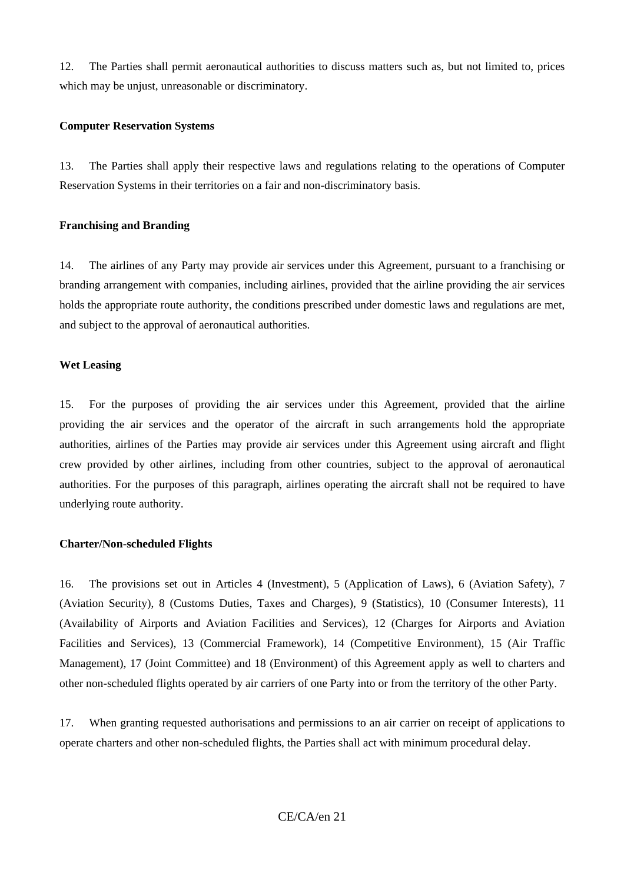12. The Parties shall permit aeronautical authorities to discuss matters such as, but not limited to, prices which may be unjust, unreasonable or discriminatory.

### **Computer Reservation Systems**

13. The Parties shall apply their respective laws and regulations relating to the operations of Computer Reservation Systems in their territories on a fair and non-discriminatory basis.

## **Franchising and Branding**

14. The airlines of any Party may provide air services under this Agreement, pursuant to a franchising or branding arrangement with companies, including airlines, provided that the airline providing the air services holds the appropriate route authority, the conditions prescribed under domestic laws and regulations are met, and subject to the approval of aeronautical authorities.

### **Wet Leasing**

15. For the purposes of providing the air services under this Agreement, provided that the airline providing the air services and the operator of the aircraft in such arrangements hold the appropriate authorities, airlines of the Parties may provide air services under this Agreement using aircraft and flight crew provided by other airlines, including from other countries, subject to the approval of aeronautical authorities. For the purposes of this paragraph, airlines operating the aircraft shall not be required to have underlying route authority.

## **Charter/Non-scheduled Flights**

16. The provisions set out in Articles 4 (Investment), 5 (Application of Laws), 6 (Aviation Safety), 7 (Aviation Security), 8 (Customs Duties, Taxes and Charges), 9 (Statistics), 10 (Consumer Interests), 11 (Availability of Airports and Aviation Facilities and Services), 12 (Charges for Airports and Aviation Facilities and Services), 13 (Commercial Framework), 14 (Competitive Environment), 15 (Air Traffic Management), 17 (Joint Committee) and 18 (Environment) of this Agreement apply as well to charters and other non-scheduled flights operated by air carriers of one Party into or from the territory of the other Party.

17. When granting requested authorisations and permissions to an air carrier on receipt of applications to operate charters and other non-scheduled flights, the Parties shall act with minimum procedural delay.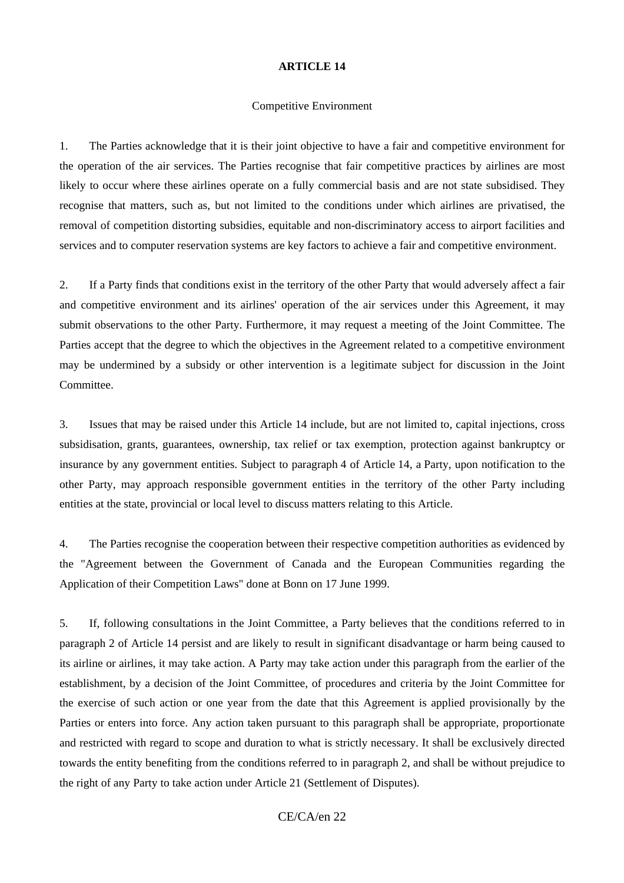#### Competitive Environment

1. The Parties acknowledge that it is their joint objective to have a fair and competitive environment for the operation of the air services. The Parties recognise that fair competitive practices by airlines are most likely to occur where these airlines operate on a fully commercial basis and are not state subsidised. They recognise that matters, such as, but not limited to the conditions under which airlines are privatised, the removal of competition distorting subsidies, equitable and non-discriminatory access to airport facilities and services and to computer reservation systems are key factors to achieve a fair and competitive environment.

2. If a Party finds that conditions exist in the territory of the other Party that would adversely affect a fair and competitive environment and its airlines' operation of the air services under this Agreement, it may submit observations to the other Party. Furthermore, it may request a meeting of the Joint Committee. The Parties accept that the degree to which the objectives in the Agreement related to a competitive environment may be undermined by a subsidy or other intervention is a legitimate subject for discussion in the Joint Committee.

3. Issues that may be raised under this Article 14 include, but are not limited to, capital injections, cross subsidisation, grants, guarantees, ownership, tax relief or tax exemption, protection against bankruptcy or insurance by any government entities. Subject to paragraph 4 of Article 14, a Party, upon notification to the other Party, may approach responsible government entities in the territory of the other Party including entities at the state, provincial or local level to discuss matters relating to this Article.

4. The Parties recognise the cooperation between their respective competition authorities as evidenced by the "Agreement between the Government of Canada and the European Communities regarding the Application of their Competition Laws" done at Bonn on 17 June 1999.

5. If, following consultations in the Joint Committee, a Party believes that the conditions referred to in paragraph 2 of Article 14 persist and are likely to result in significant disadvantage or harm being caused to its airline or airlines, it may take action. A Party may take action under this paragraph from the earlier of the establishment, by a decision of the Joint Committee, of procedures and criteria by the Joint Committee for the exercise of such action or one year from the date that this Agreement is applied provisionally by the Parties or enters into force. Any action taken pursuant to this paragraph shall be appropriate, proportionate and restricted with regard to scope and duration to what is strictly necessary. It shall be exclusively directed towards the entity benefiting from the conditions referred to in paragraph 2, and shall be without prejudice to the right of any Party to take action under Article 21 (Settlement of Disputes).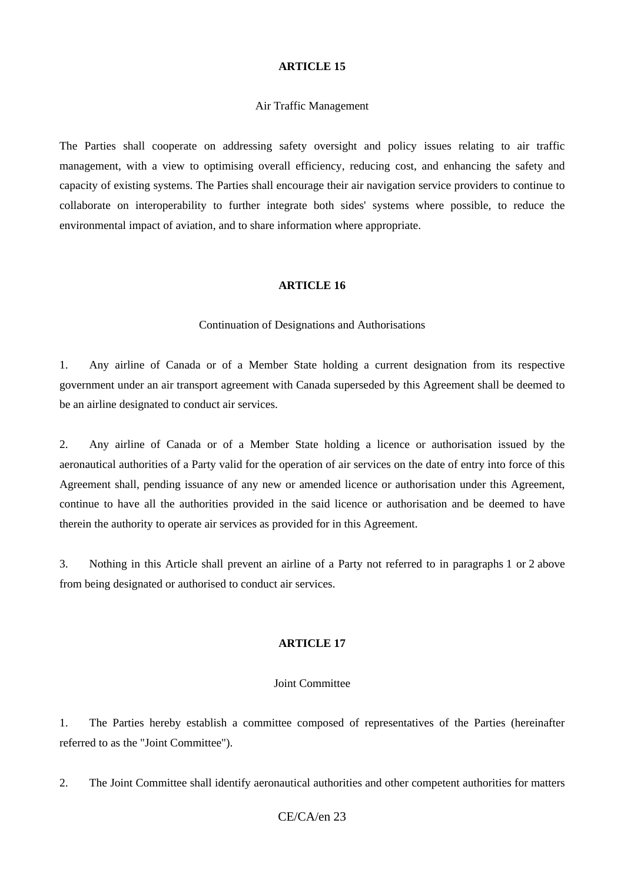#### Air Traffic Management

The Parties shall cooperate on addressing safety oversight and policy issues relating to air traffic management, with a view to optimising overall efficiency, reducing cost, and enhancing the safety and capacity of existing systems. The Parties shall encourage their air navigation service providers to continue to collaborate on interoperability to further integrate both sides' systems where possible, to reduce the environmental impact of aviation, and to share information where appropriate.

### **ARTICLE 16**

#### Continuation of Designations and Authorisations

1. Any airline of Canada or of a Member State holding a current designation from its respective government under an air transport agreement with Canada superseded by this Agreement shall be deemed to be an airline designated to conduct air services.

2. Any airline of Canada or of a Member State holding a licence or authorisation issued by the aeronautical authorities of a Party valid for the operation of air services on the date of entry into force of this Agreement shall, pending issuance of any new or amended licence or authorisation under this Agreement, continue to have all the authorities provided in the said licence or authorisation and be deemed to have therein the authority to operate air services as provided for in this Agreement.

3. Nothing in this Article shall prevent an airline of a Party not referred to in paragraphs 1 or 2 above from being designated or authorised to conduct air services.

## **ARTICLE 17**

#### Joint Committee

1. The Parties hereby establish a committee composed of representatives of the Parties (hereinafter referred to as the "Joint Committee").

2. The Joint Committee shall identify aeronautical authorities and other competent authorities for matters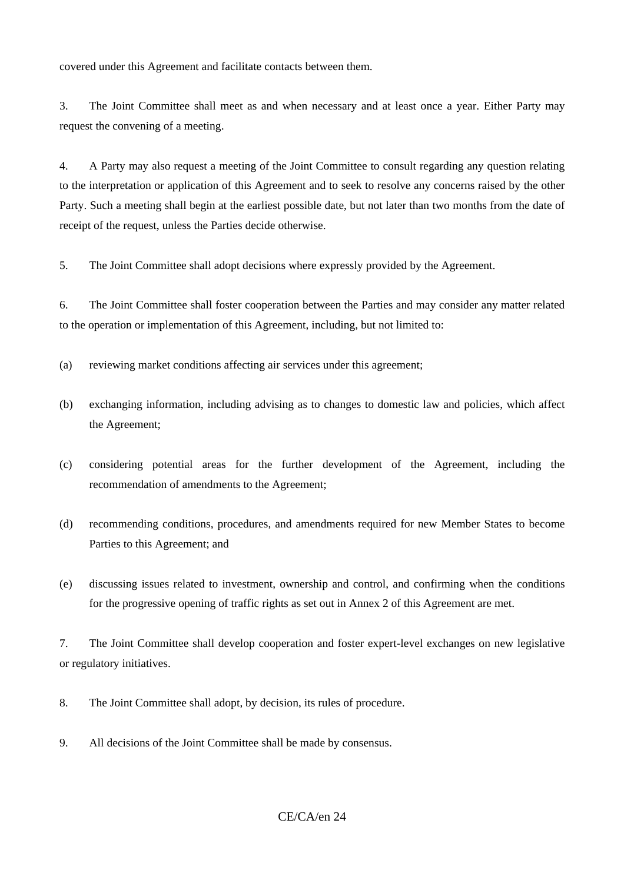covered under this Agreement and facilitate contacts between them.

3. The Joint Committee shall meet as and when necessary and at least once a year. Either Party may request the convening of a meeting.

4. A Party may also request a meeting of the Joint Committee to consult regarding any question relating to the interpretation or application of this Agreement and to seek to resolve any concerns raised by the other Party. Such a meeting shall begin at the earliest possible date, but not later than two months from the date of receipt of the request, unless the Parties decide otherwise.

5. The Joint Committee shall adopt decisions where expressly provided by the Agreement.

6. The Joint Committee shall foster cooperation between the Parties and may consider any matter related to the operation or implementation of this Agreement, including, but not limited to:

- (a) reviewing market conditions affecting air services under this agreement;
- (b) exchanging information, including advising as to changes to domestic law and policies, which affect the Agreement;
- (c) considering potential areas for the further development of the Agreement, including the recommendation of amendments to the Agreement;
- (d) recommending conditions, procedures, and amendments required for new Member States to become Parties to this Agreement; and
- (e) discussing issues related to investment, ownership and control, and confirming when the conditions for the progressive opening of traffic rights as set out in Annex 2 of this Agreement are met.

7. The Joint Committee shall develop cooperation and foster expert-level exchanges on new legislative or regulatory initiatives.

- 8. The Joint Committee shall adopt, by decision, its rules of procedure.
- 9. All decisions of the Joint Committee shall be made by consensus.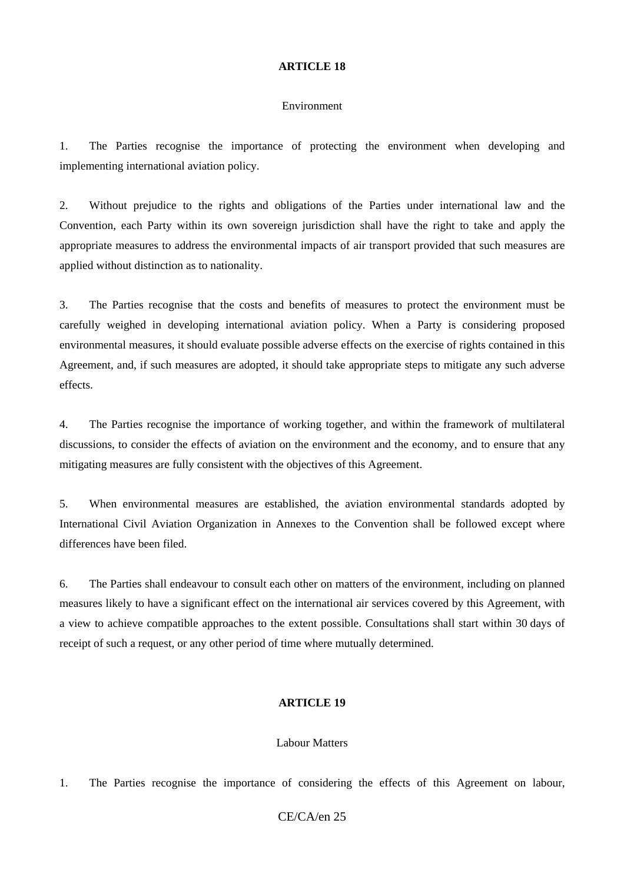#### Environment

1. The Parties recognise the importance of protecting the environment when developing and implementing international aviation policy.

2. Without prejudice to the rights and obligations of the Parties under international law and the Convention, each Party within its own sovereign jurisdiction shall have the right to take and apply the appropriate measures to address the environmental impacts of air transport provided that such measures are applied without distinction as to nationality.

3. The Parties recognise that the costs and benefits of measures to protect the environment must be carefully weighed in developing international aviation policy. When a Party is considering proposed environmental measures, it should evaluate possible adverse effects on the exercise of rights contained in this Agreement, and, if such measures are adopted, it should take appropriate steps to mitigate any such adverse effects.

4. The Parties recognise the importance of working together, and within the framework of multilateral discussions, to consider the effects of aviation on the environment and the economy, and to ensure that any mitigating measures are fully consistent with the objectives of this Agreement.

5. When environmental measures are established, the aviation environmental standards adopted by International Civil Aviation Organization in Annexes to the Convention shall be followed except where differences have been filed.

6. The Parties shall endeavour to consult each other on matters of the environment, including on planned measures likely to have a significant effect on the international air services covered by this Agreement, with a view to achieve compatible approaches to the extent possible. Consultations shall start within 30 days of receipt of such a request, or any other period of time where mutually determined.

### **ARTICLE 19**

### Labour Matters

1. The Parties recognise the importance of considering the effects of this Agreement on labour,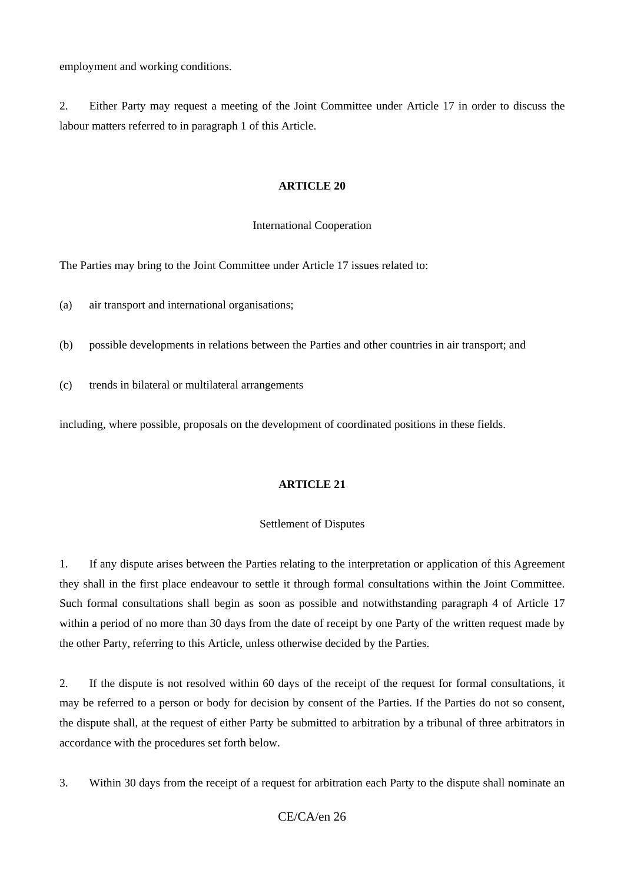employment and working conditions.

2. Either Party may request a meeting of the Joint Committee under Article 17 in order to discuss the labour matters referred to in paragraph 1 of this Article.

### **ARTICLE 20**

### International Cooperation

The Parties may bring to the Joint Committee under Article 17 issues related to:

(a) air transport and international organisations;

(b) possible developments in relations between the Parties and other countries in air transport; and

(c) trends in bilateral or multilateral arrangements

including, where possible, proposals on the development of coordinated positions in these fields.

## **ARTICLE 21**

### Settlement of Disputes

1. If any dispute arises between the Parties relating to the interpretation or application of this Agreement they shall in the first place endeavour to settle it through formal consultations within the Joint Committee. Such formal consultations shall begin as soon as possible and notwithstanding paragraph 4 of Article 17 within a period of no more than 30 days from the date of receipt by one Party of the written request made by the other Party, referring to this Article, unless otherwise decided by the Parties.

2. If the dispute is not resolved within 60 days of the receipt of the request for formal consultations, it may be referred to a person or body for decision by consent of the Parties. If the Parties do not so consent, the dispute shall, at the request of either Party be submitted to arbitration by a tribunal of three arbitrators in accordance with the procedures set forth below.

3. Within 30 days from the receipt of a request for arbitration each Party to the dispute shall nominate an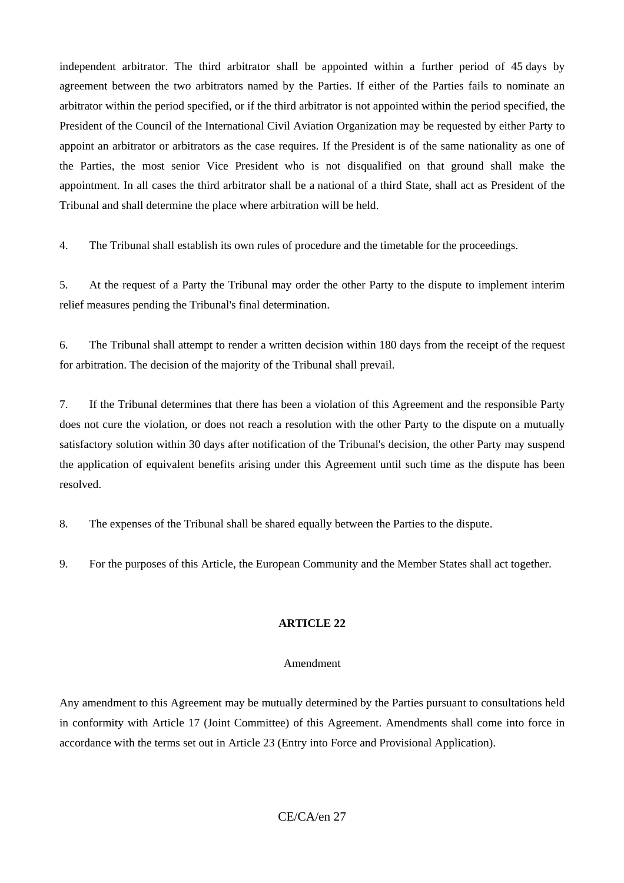independent arbitrator. The third arbitrator shall be appointed within a further period of 45 days by agreement between the two arbitrators named by the Parties. If either of the Parties fails to nominate an arbitrator within the period specified, or if the third arbitrator is not appointed within the period specified, the President of the Council of the International Civil Aviation Organization may be requested by either Party to appoint an arbitrator or arbitrators as the case requires. If the President is of the same nationality as one of the Parties, the most senior Vice President who is not disqualified on that ground shall make the appointment. In all cases the third arbitrator shall be a national of a third State, shall act as President of the Tribunal and shall determine the place where arbitration will be held.

4. The Tribunal shall establish its own rules of procedure and the timetable for the proceedings.

5. At the request of a Party the Tribunal may order the other Party to the dispute to implement interim relief measures pending the Tribunal's final determination.

6. The Tribunal shall attempt to render a written decision within 180 days from the receipt of the request for arbitration. The decision of the majority of the Tribunal shall prevail.

7. If the Tribunal determines that there has been a violation of this Agreement and the responsible Party does not cure the violation, or does not reach a resolution with the other Party to the dispute on a mutually satisfactory solution within 30 days after notification of the Tribunal's decision, the other Party may suspend the application of equivalent benefits arising under this Agreement until such time as the dispute has been resolved.

8. The expenses of the Tribunal shall be shared equally between the Parties to the dispute.

9. For the purposes of this Article, the European Community and the Member States shall act together.

## **ARTICLE 22**

## Amendment

Any amendment to this Agreement may be mutually determined by the Parties pursuant to consultations held in conformity with Article 17 (Joint Committee) of this Agreement. Amendments shall come into force in accordance with the terms set out in Article 23 (Entry into Force and Provisional Application).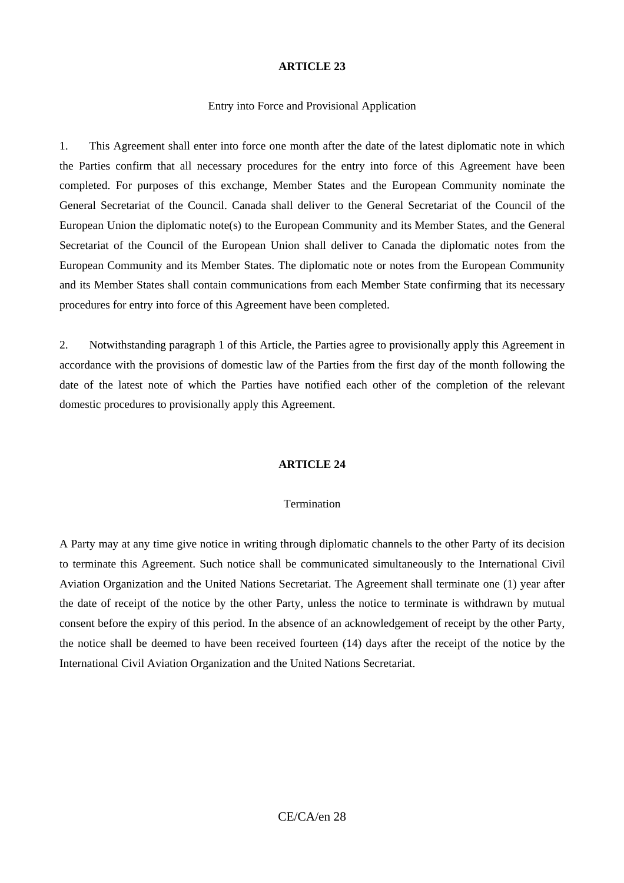#### Entry into Force and Provisional Application

1. This Agreement shall enter into force one month after the date of the latest diplomatic note in which the Parties confirm that all necessary procedures for the entry into force of this Agreement have been completed. For purposes of this exchange, Member States and the European Community nominate the General Secretariat of the Council. Canada shall deliver to the General Secretariat of the Council of the European Union the diplomatic note(s) to the European Community and its Member States, and the General Secretariat of the Council of the European Union shall deliver to Canada the diplomatic notes from the European Community and its Member States. The diplomatic note or notes from the European Community and its Member States shall contain communications from each Member State confirming that its necessary procedures for entry into force of this Agreement have been completed.

2. Notwithstanding paragraph 1 of this Article, the Parties agree to provisionally apply this Agreement in accordance with the provisions of domestic law of the Parties from the first day of the month following the date of the latest note of which the Parties have notified each other of the completion of the relevant domestic procedures to provisionally apply this Agreement.

### **ARTICLE 24**

#### Termination

A Party may at any time give notice in writing through diplomatic channels to the other Party of its decision to terminate this Agreement. Such notice shall be communicated simultaneously to the International Civil Aviation Organization and the United Nations Secretariat. The Agreement shall terminate one (1) year after the date of receipt of the notice by the other Party, unless the notice to terminate is withdrawn by mutual consent before the expiry of this period. In the absence of an acknowledgement of receipt by the other Party, the notice shall be deemed to have been received fourteen (14) days after the receipt of the notice by the International Civil Aviation Organization and the United Nations Secretariat.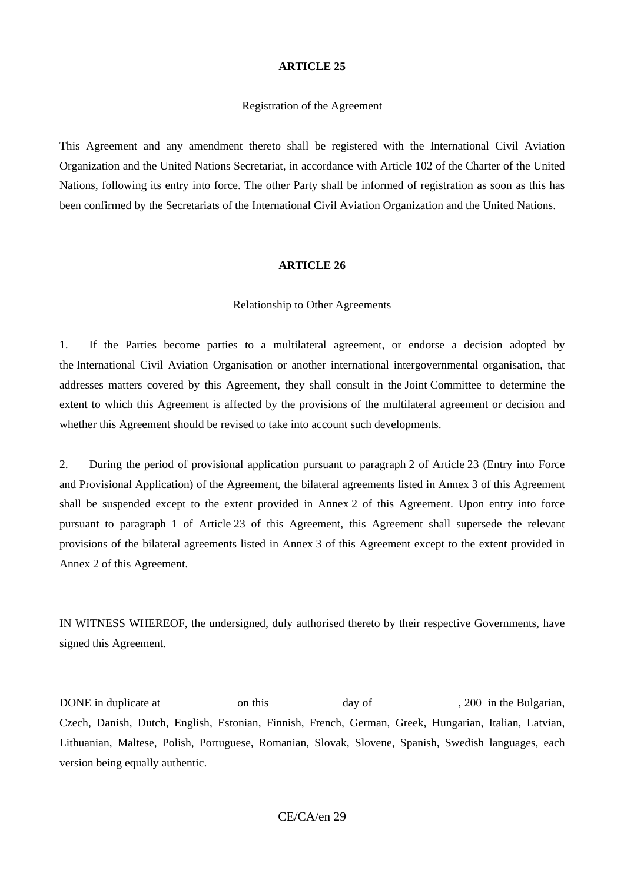#### Registration of the Agreement

This Agreement and any amendment thereto shall be registered with the International Civil Aviation Organization and the United Nations Secretariat, in accordance with Article 102 of the Charter of the United Nations, following its entry into force. The other Party shall be informed of registration as soon as this has been confirmed by the Secretariats of the International Civil Aviation Organization and the United Nations.

#### **ARTICLE 26**

#### Relationship to Other Agreements

1. If the Parties become parties to a multilateral agreement, or endorse a decision adopted by the International Civil Aviation Organisation or another international intergovernmental organisation, that addresses matters covered by this Agreement, they shall consult in the Joint Committee to determine the extent to which this Agreement is affected by the provisions of the multilateral agreement or decision and whether this Agreement should be revised to take into account such developments.

2. During the period of provisional application pursuant to paragraph 2 of Article 23 (Entry into Force and Provisional Application) of the Agreement, the bilateral agreements listed in Annex 3 of this Agreement shall be suspended except to the extent provided in Annex 2 of this Agreement. Upon entry into force pursuant to paragraph 1 of Article 23 of this Agreement, this Agreement shall supersede the relevant provisions of the bilateral agreements listed in Annex 3 of this Agreement except to the extent provided in Annex 2 of this Agreement.

IN WITNESS WHEREOF, the undersigned, duly authorised thereto by their respective Governments, have signed this Agreement.

DONE in duplicate at on this day of , 200 in the Bulgarian, Czech, Danish, Dutch, English, Estonian, Finnish, French, German, Greek, Hungarian, Italian, Latvian, Lithuanian, Maltese, Polish, Portuguese, Romanian, Slovak, Slovene, Spanish, Swedish languages, each version being equally authentic.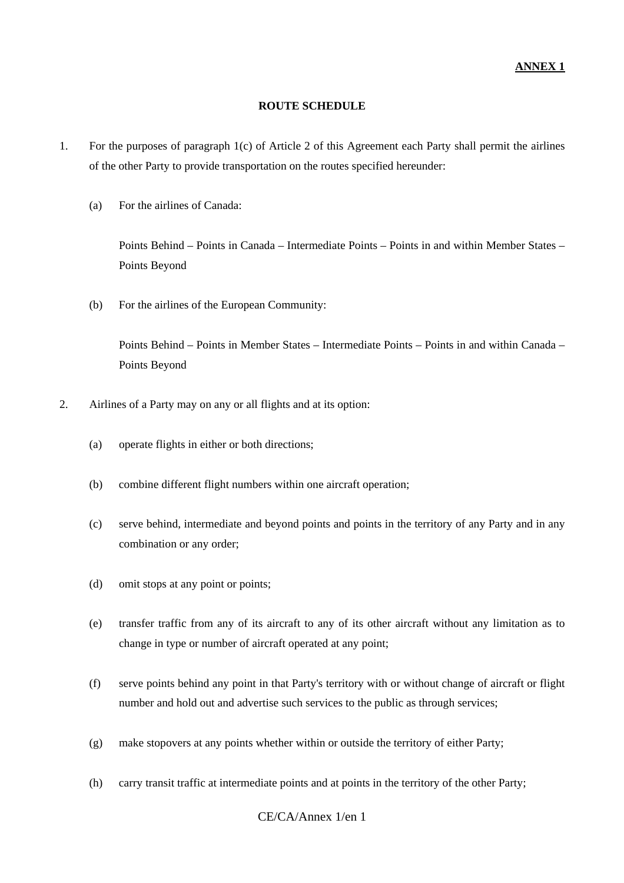### **ROUTE SCHEDULE**

- 1. For the purposes of paragraph 1(c) of Article 2 of this Agreement each Party shall permit the airlines of the other Party to provide transportation on the routes specified hereunder:
	- (a) For the airlines of Canada:

 Points Behind – Points in Canada – Intermediate Points – Points in and within Member States – Points Beyond

(b) For the airlines of the European Community:

 Points Behind – Points in Member States – Intermediate Points – Points in and within Canada – Points Beyond

- 2. Airlines of a Party may on any or all flights and at its option:
	- (a) operate flights in either or both directions;
	- (b) combine different flight numbers within one aircraft operation;
	- (c) serve behind, intermediate and beyond points and points in the territory of any Party and in any combination or any order;
	- (d) omit stops at any point or points;
	- (e) transfer traffic from any of its aircraft to any of its other aircraft without any limitation as to change in type or number of aircraft operated at any point;
	- (f) serve points behind any point in that Party's territory with or without change of aircraft or flight number and hold out and advertise such services to the public as through services;
	- (g) make stopovers at any points whether within or outside the territory of either Party;
	- (h) carry transit traffic at intermediate points and at points in the territory of the other Party;

## CE/CA/Annex 1/en 1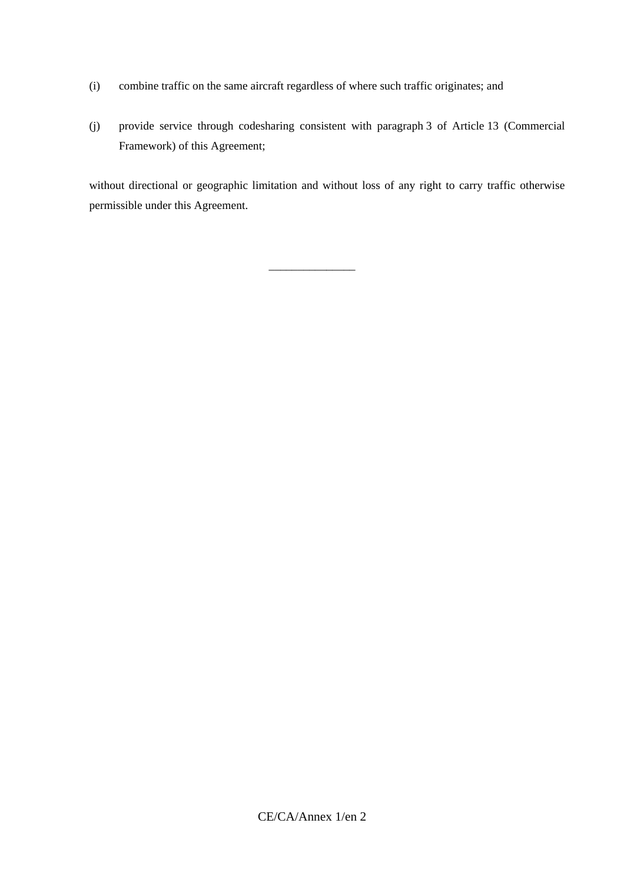- (i) combine traffic on the same aircraft regardless of where such traffic originates; and
- (j) provide service through codesharing consistent with paragraph 3 of Article 13 (Commercial Framework) of this Agreement;

 without directional or geographic limitation and without loss of any right to carry traffic otherwise permissible under this Agreement.

\_\_\_\_\_\_\_\_\_\_\_\_\_\_\_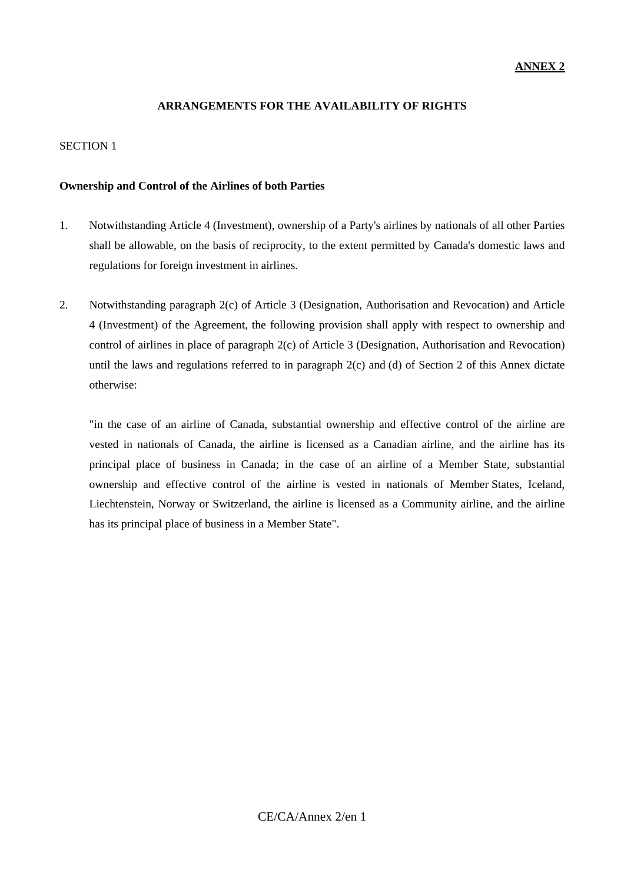## **ANNEX 2**

## **ARRANGEMENTS FOR THE AVAILABILITY OF RIGHTS**

## SECTION 1

### **Ownership and Control of the Airlines of both Parties**

- 1. Notwithstanding Article 4 (Investment), ownership of a Party's airlines by nationals of all other Parties shall be allowable, on the basis of reciprocity, to the extent permitted by Canada's domestic laws and regulations for foreign investment in airlines.
- 2. Notwithstanding paragraph 2(c) of Article 3 (Designation, Authorisation and Revocation) and Article 4 (Investment) of the Agreement, the following provision shall apply with respect to ownership and control of airlines in place of paragraph 2(c) of Article 3 (Designation, Authorisation and Revocation) until the laws and regulations referred to in paragraph  $2(c)$  and (d) of Section 2 of this Annex dictate otherwise:

 "in the case of an airline of Canada, substantial ownership and effective control of the airline are vested in nationals of Canada, the airline is licensed as a Canadian airline, and the airline has its principal place of business in Canada; in the case of an airline of a Member State, substantial ownership and effective control of the airline is vested in nationals of Member States, Iceland, Liechtenstein, Norway or Switzerland, the airline is licensed as a Community airline, and the airline has its principal place of business in a Member State".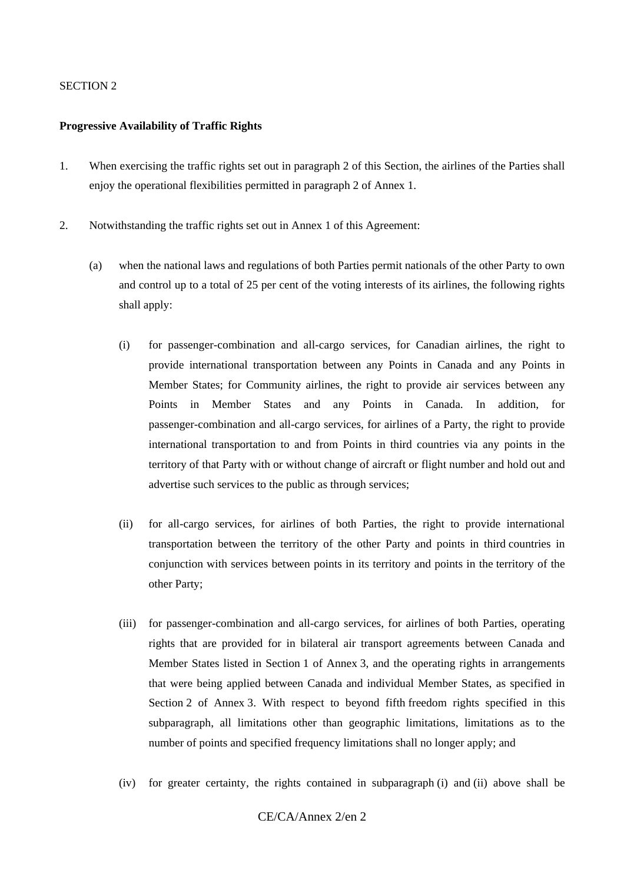### SECTION 2

### **Progressive Availability of Traffic Rights**

- 1. When exercising the traffic rights set out in paragraph 2 of this Section, the airlines of the Parties shall enjoy the operational flexibilities permitted in paragraph 2 of Annex 1.
- 2. Notwithstanding the traffic rights set out in Annex 1 of this Agreement:
	- (a) when the national laws and regulations of both Parties permit nationals of the other Party to own and control up to a total of 25 per cent of the voting interests of its airlines, the following rights shall apply:
		- (i) for passenger-combination and all-cargo services, for Canadian airlines, the right to provide international transportation between any Points in Canada and any Points in Member States; for Community airlines, the right to provide air services between any Points in Member States and any Points in Canada. In addition, for passenger-combination and all-cargo services, for airlines of a Party, the right to provide international transportation to and from Points in third countries via any points in the territory of that Party with or without change of aircraft or flight number and hold out and advertise such services to the public as through services;
		- (ii) for all-cargo services, for airlines of both Parties, the right to provide international transportation between the territory of the other Party and points in third countries in conjunction with services between points in its territory and points in the territory of the other Party;
		- (iii) for passenger-combination and all-cargo services, for airlines of both Parties, operating rights that are provided for in bilateral air transport agreements between Canada and Member States listed in Section 1 of Annex 3, and the operating rights in arrangements that were being applied between Canada and individual Member States, as specified in Section 2 of Annex 3. With respect to beyond fifth freedom rights specified in this subparagraph, all limitations other than geographic limitations, limitations as to the number of points and specified frequency limitations shall no longer apply; and
		- (iv) for greater certainty, the rights contained in subparagraph (i) and (ii) above shall be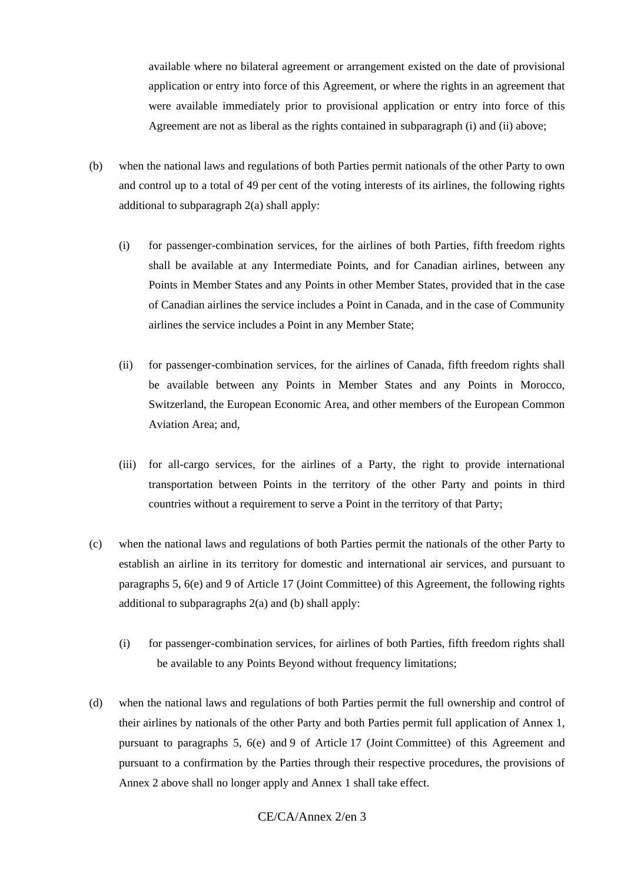available where no bilateral agreement or arrangement existed on the date of provisional application or entry into force of this Agreement, or where the rights in an agreement that were available immediately prior to provisional application or entry into force of this Agreement are not as liberal as the rights contained in subparagraph (i) and (ii) above;

- (b) when the national laws and regulations of both Parties permit nationals of the other Party to own and control up to a total of 49 per cent of the voting interests of its airlines, the following rights additional to subparagraph 2(a) shall apply:
	- (i) for passenger-combination services, for the airlines of both Parties, fifth freedom rights shall be available at any Intermediate Points, and for Canadian airlines, between any Points in Member States and any Points in other Member States, provided that in the case of Canadian airlines the service includes a Point in Canada, and in the case of Community airlines the service includes a Point in any Member State;
	- (ii) for passenger-combination services, for the airlines of Canada, fifth freedom rights shall be available between any Points in Member States and any Points in Morocco, Switzerland, the European Economic Area, and other members of the European Common Aviation Area; and,
	- (iii) for all-cargo services, for the airlines of a Party, the right to provide international transportation between Points in the territory of the other Party and points in third countries without a requirement to serve a Point in the territory of that Party;
- (c) when the national laws and regulations of both Parties permit the nationals of the other Party to establish an airline in its territory for domestic and international air services, and pursuant to paragraphs 5, 6(e) and 9 of Article 17 (Joint Committee) of this Agreement, the following rights additional to subparagraphs 2(a) and (b) shall apply:
	- (i) for passenger-combination services, for airlines of both Parties, fifth freedom rights shall be available to any Points Beyond without frequency limitations;
- (d) when the national laws and regulations of both Parties permit the full ownership and control of their airlines by nationals of the other Party and both Parties permit full application of Annex 1, pursuant to paragraphs 5, 6(e) and 9 of Article 17 (Joint Committee) of this Agreement and pursuant to a confirmation by the Parties through their respective procedures, the provisions of Annex 2 above shall no longer apply and Annex 1 shall take effect.

# CE/CA/Annex 2/en 3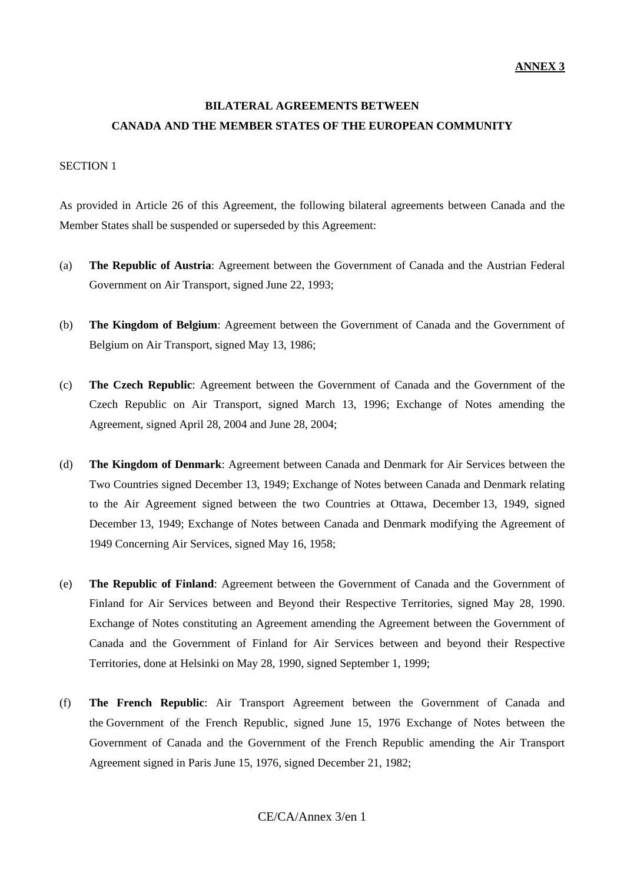# **BILATERAL AGREEMENTS BETWEEN CANADA AND THE MEMBER STATES OF THE EUROPEAN COMMUNITY**

### SECTION 1

As provided in Article 26 of this Agreement, the following bilateral agreements between Canada and the Member States shall be suspended or superseded by this Agreement:

- (a) **The Republic of Austria**: Agreement between the Government of Canada and the Austrian Federal Government on Air Transport, signed June 22, 1993;
- (b) **The Kingdom of Belgium**: Agreement between the Government of Canada and the Government of Belgium on Air Transport, signed May 13, 1986;
- (c) **The Czech Republic**: Agreement between the Government of Canada and the Government of the Czech Republic on Air Transport, signed March 13, 1996; Exchange of Notes amending the Agreement, signed April 28, 2004 and June 28, 2004;
- (d) **The Kingdom of Denmark**: Agreement between Canada and Denmark for Air Services between the Two Countries signed December 13, 1949; Exchange of Notes between Canada and Denmark relating to the Air Agreement signed between the two Countries at Ottawa, December 13, 1949, signed December 13, 1949; Exchange of Notes between Canada and Denmark modifying the Agreement of 1949 Concerning Air Services, signed May 16, 1958;
- (e) **The Republic of Finland**: Agreement between the Government of Canada and the Government of Finland for Air Services between and Beyond their Respective Territories, signed May 28, 1990. Exchange of Notes constituting an Agreement amending the Agreement between the Government of Canada and the Government of Finland for Air Services between and beyond their Respective Territories, done at Helsinki on May 28, 1990, signed September 1, 1999;
- (f) **The French Republic**: Air Transport Agreement between the Government of Canada and the Government of the French Republic, signed June 15, 1976 Exchange of Notes between the Government of Canada and the Government of the French Republic amending the Air Transport Agreement signed in Paris June 15, 1976, signed December 21, 1982;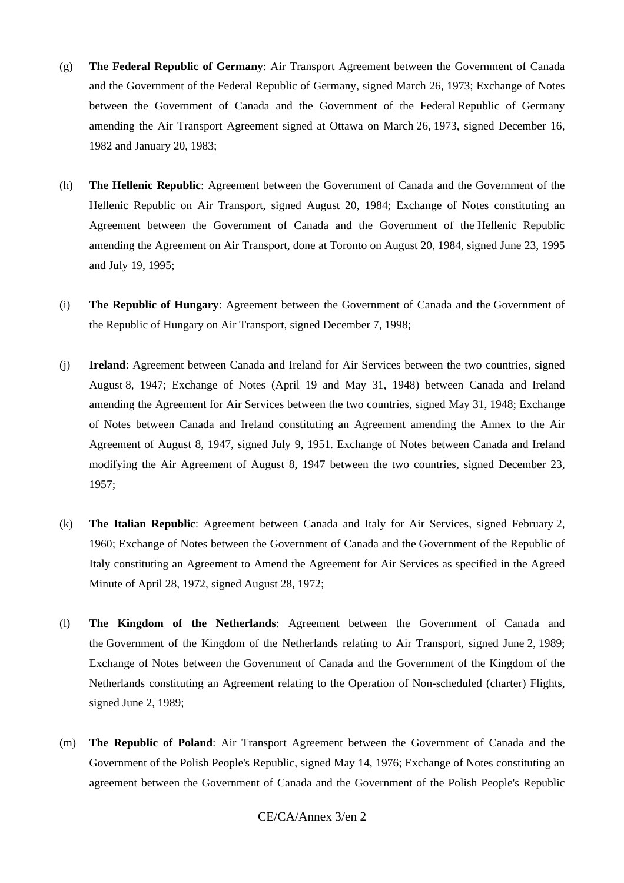- (g) **The Federal Republic of Germany**: Air Transport Agreement between the Government of Canada and the Government of the Federal Republic of Germany, signed March 26, 1973; Exchange of Notes between the Government of Canada and the Government of the Federal Republic of Germany amending the Air Transport Agreement signed at Ottawa on March 26, 1973, signed December 16, 1982 and January 20, 1983;
- (h) **The Hellenic Republic**: Agreement between the Government of Canada and the Government of the Hellenic Republic on Air Transport, signed August 20, 1984; Exchange of Notes constituting an Agreement between the Government of Canada and the Government of the Hellenic Republic amending the Agreement on Air Transport, done at Toronto on August 20, 1984, signed June 23, 1995 and July 19, 1995;
- (i) **The Republic of Hungary**: Agreement between the Government of Canada and the Government of the Republic of Hungary on Air Transport, signed December 7, 1998;
- (j) **Ireland**: Agreement between Canada and Ireland for Air Services between the two countries, signed August 8, 1947; Exchange of Notes (April 19 and May 31, 1948) between Canada and Ireland amending the Agreement for Air Services between the two countries, signed May 31, 1948; Exchange of Notes between Canada and Ireland constituting an Agreement amending the Annex to the Air Agreement of August 8, 1947, signed July 9, 1951. Exchange of Notes between Canada and Ireland modifying the Air Agreement of August 8, 1947 between the two countries, signed December 23, 1957;
- (k) **The Italian Republic**: Agreement between Canada and Italy for Air Services, signed February 2, 1960; Exchange of Notes between the Government of Canada and the Government of the Republic of Italy constituting an Agreement to Amend the Agreement for Air Services as specified in the Agreed Minute of April 28, 1972, signed August 28, 1972;
- (l) **The Kingdom of the Netherlands**: Agreement between the Government of Canada and the Government of the Kingdom of the Netherlands relating to Air Transport, signed June 2, 1989; Exchange of Notes between the Government of Canada and the Government of the Kingdom of the Netherlands constituting an Agreement relating to the Operation of Non-scheduled (charter) Flights, signed June 2, 1989;
- (m) **The Republic of Poland**: Air Transport Agreement between the Government of Canada and the Government of the Polish People's Republic, signed May 14, 1976; Exchange of Notes constituting an agreement between the Government of Canada and the Government of the Polish People's Republic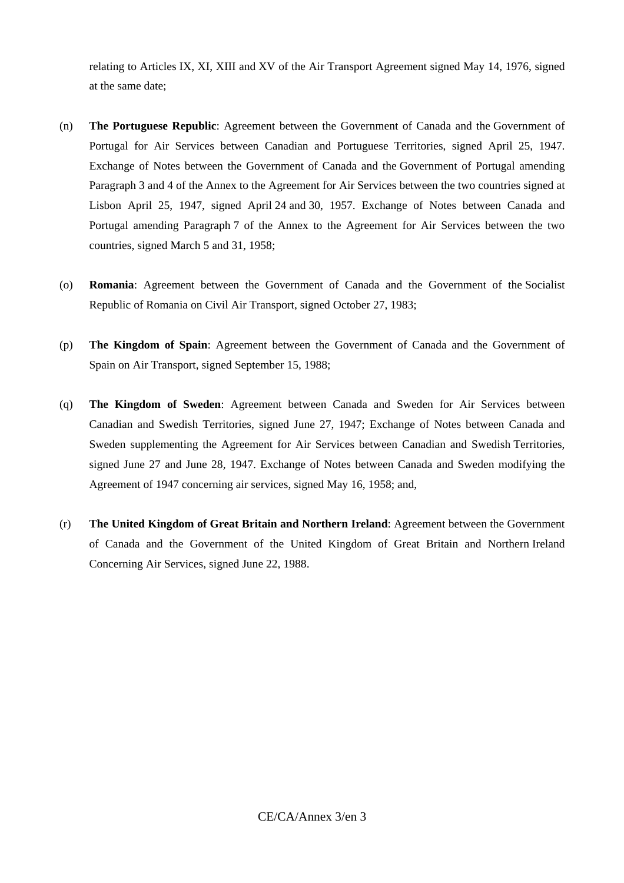relating to Articles IX, XI, XIII and XV of the Air Transport Agreement signed May 14, 1976, signed at the same date;

- (n) **The Portuguese Republic**: Agreement between the Government of Canada and the Government of Portugal for Air Services between Canadian and Portuguese Territories, signed April 25, 1947. Exchange of Notes between the Government of Canada and the Government of Portugal amending Paragraph 3 and 4 of the Annex to the Agreement for Air Services between the two countries signed at Lisbon April 25, 1947, signed April 24 and 30, 1957. Exchange of Notes between Canada and Portugal amending Paragraph 7 of the Annex to the Agreement for Air Services between the two countries, signed March 5 and 31, 1958;
- (o) **Romania**: Agreement between the Government of Canada and the Government of the Socialist Republic of Romania on Civil Air Transport, signed October 27, 1983;
- (p) **The Kingdom of Spain**: Agreement between the Government of Canada and the Government of Spain on Air Transport, signed September 15, 1988;
- (q) **The Kingdom of Sweden**: Agreement between Canada and Sweden for Air Services between Canadian and Swedish Territories, signed June 27, 1947; Exchange of Notes between Canada and Sweden supplementing the Agreement for Air Services between Canadian and Swedish Territories, signed June 27 and June 28, 1947. Exchange of Notes between Canada and Sweden modifying the Agreement of 1947 concerning air services, signed May 16, 1958; and,
- (r) **The United Kingdom of Great Britain and Northern Ireland**: Agreement between the Government of Canada and the Government of the United Kingdom of Great Britain and Northern Ireland Concerning Air Services, signed June 22, 1988.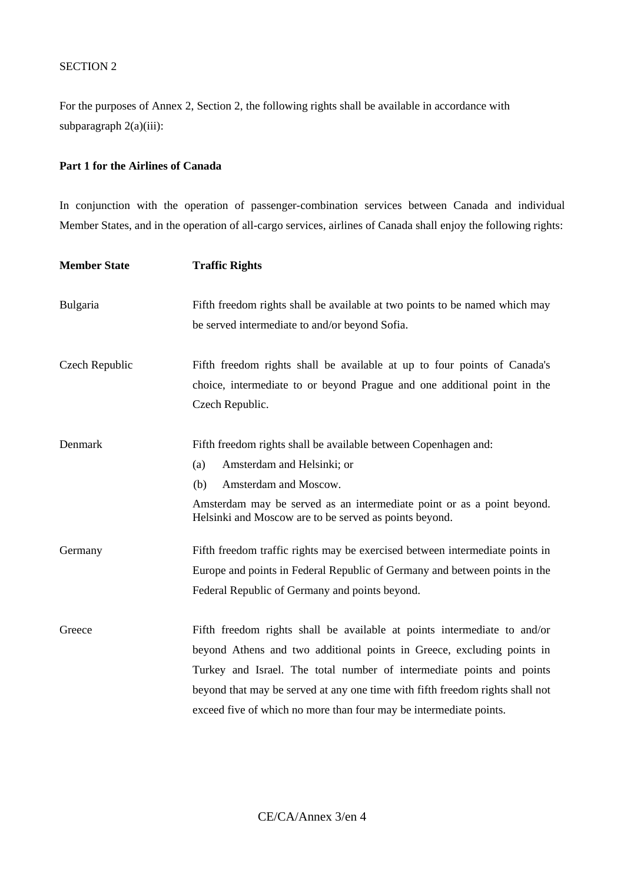### SECTION 2

For the purposes of Annex 2, Section 2, the following rights shall be available in accordance with subparagraph 2(a)(iii):

### **Part 1 for the Airlines of Canada**

In conjunction with the operation of passenger-combination services between Canada and individual Member States, and in the operation of all-cargo services, airlines of Canada shall enjoy the following rights:

| <b>Member State</b> | <b>Traffic Rights</b>                                                                                                                                                                                                                                                                                                                                                              |
|---------------------|------------------------------------------------------------------------------------------------------------------------------------------------------------------------------------------------------------------------------------------------------------------------------------------------------------------------------------------------------------------------------------|
| Bulgaria            | Fifth freedom rights shall be available at two points to be named which may<br>be served intermediate to and/or beyond Sofia.                                                                                                                                                                                                                                                      |
| Czech Republic      | Fifth freedom rights shall be available at up to four points of Canada's<br>choice, intermediate to or beyond Prague and one additional point in the<br>Czech Republic.                                                                                                                                                                                                            |
| Denmark             | Fifth freedom rights shall be available between Copenhagen and:<br>Amsterdam and Helsinki; or<br>(a)<br>Amsterdam and Moscow.<br>(b)<br>Amsterdam may be served as an intermediate point or as a point beyond.<br>Helsinki and Moscow are to be served as points beyond.                                                                                                           |
| Germany             | Fifth freedom traffic rights may be exercised between intermediate points in<br>Europe and points in Federal Republic of Germany and between points in the<br>Federal Republic of Germany and points beyond.                                                                                                                                                                       |
| Greece              | Fifth freedom rights shall be available at points intermediate to and/or<br>beyond Athens and two additional points in Greece, excluding points in<br>Turkey and Israel. The total number of intermediate points and points<br>beyond that may be served at any one time with fifth freedom rights shall not<br>exceed five of which no more than four may be intermediate points. |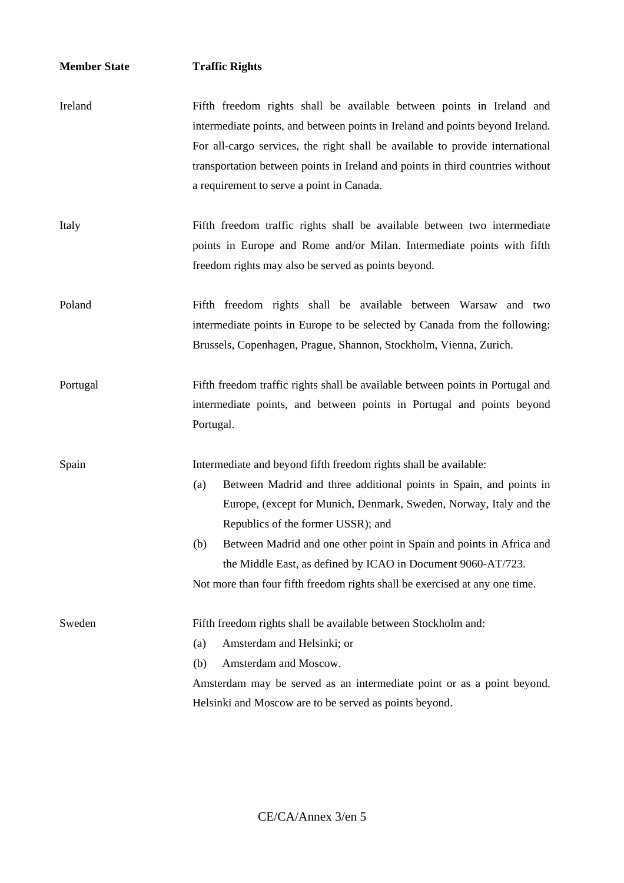## **Member State Traffic Rights**

- Ireland Fifth freedom rights shall be available between points in Ireland and intermediate points, and between points in Ireland and points beyond Ireland. For all-cargo services, the right shall be available to provide international transportation between points in Ireland and points in third countries without a requirement to serve a point in Canada.
- Italy Fifth freedom traffic rights shall be available between two intermediate points in Europe and Rome and/or Milan. Intermediate points with fifth freedom rights may also be served as points beyond.
- Poland Fifth freedom rights shall be available between Warsaw and two intermediate points in Europe to be selected by Canada from the following: Brussels, Copenhagen, Prague, Shannon, Stockholm, Vienna, Zurich.
- Portugal Fifth freedom traffic rights shall be available between points in Portugal and intermediate points, and between points in Portugal and points beyond Portugal.

Spain Intermediate and beyond fifth freedom rights shall be available:

- (a) Between Madrid and three additional points in Spain, and points in Europe, (except for Munich, Denmark, Sweden, Norway, Italy and the Republics of the former USSR); and
- (b) Between Madrid and one other point in Spain and points in Africa and the Middle East, as defined by ICAO in Document 9060-AT/723. Not more than four fifth freedom rights shall be exercised at any one time.

Sweden Fifth freedom rights shall be available between Stockholm and: (a) Amsterdam and Helsinki; or

- 
- (b) Amsterdam and Moscow.

Amsterdam may be served as an intermediate point or as a point beyond. Helsinki and Moscow are to be served as points beyond.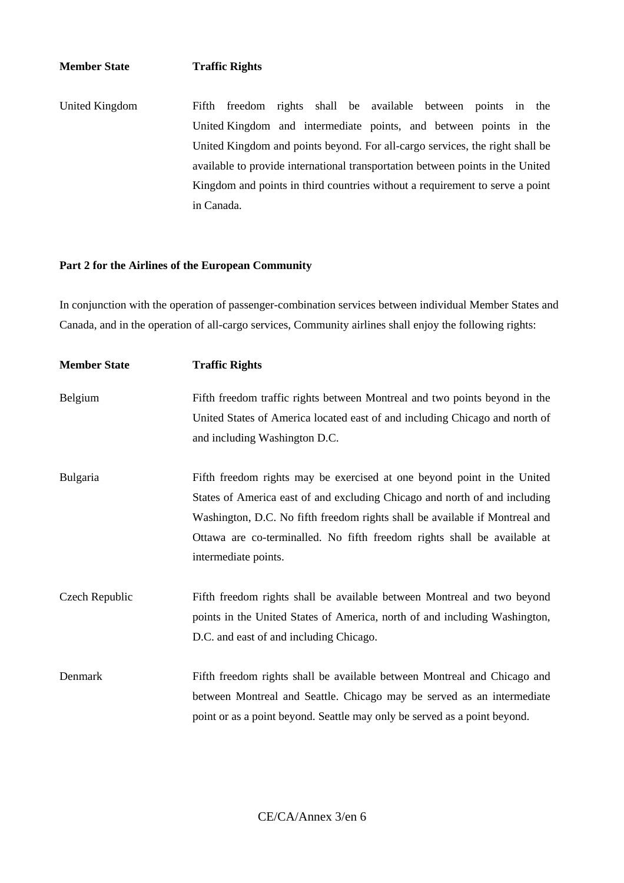### **Member State Traffic Rights**

United Kingdom Fifth freedom rights shall be available between points in the United Kingdom and intermediate points, and between points in the United Kingdom and points beyond. For all-cargo services, the right shall be available to provide international transportation between points in the United Kingdom and points in third countries without a requirement to serve a point in Canada.

### **Part 2 for the Airlines of the European Community**

In conjunction with the operation of passenger-combination services between individual Member States and Canada, and in the operation of all-cargo services, Community airlines shall enjoy the following rights:

| <b>Member State</b> | <b>Traffic Rights</b>                                                       |
|---------------------|-----------------------------------------------------------------------------|
| Belgium             | Fifth freedom traffic rights between Montreal and two points beyond in the  |
|                     | United States of America located east of and including Chicago and north of |
|                     | and including Washington D.C.                                               |
| <b>Bulgaria</b>     | Fifth freedom rights may be exercised at one beyond point in the United     |
|                     | States of America east of and excluding Chicago and north of and including  |
|                     | Washington, D.C. No fifth freedom rights shall be available if Montreal and |
|                     | Ottawa are co-terminalled. No fifth freedom rights shall be available at    |
|                     | intermediate points.                                                        |
| Czech Republic      | Fifth freedom rights shall be available between Montreal and two beyond     |
|                     | points in the United States of America, north of and including Washington,  |
|                     | D.C. and east of and including Chicago.                                     |
| Denmark             | Fifth freedom rights shall be available between Montreal and Chicago and    |
|                     | between Montreal and Seattle. Chicago may be served as an intermediate      |
|                     | point or as a point beyond. Seattle may only be served as a point beyond.   |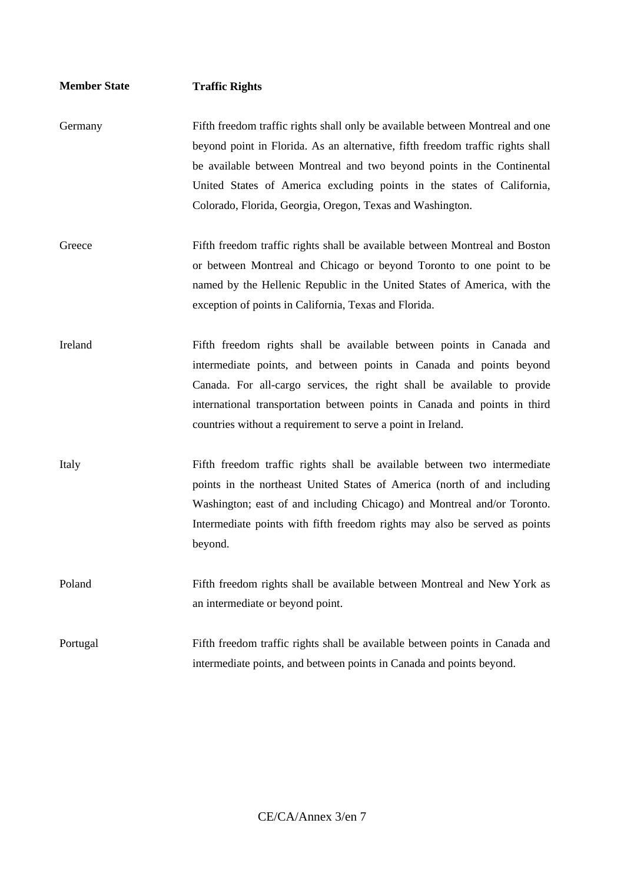| <b>Member State</b> | <b>Traffic Rights</b>                                                                                                                                                                                                                                                                                                                                                            |
|---------------------|----------------------------------------------------------------------------------------------------------------------------------------------------------------------------------------------------------------------------------------------------------------------------------------------------------------------------------------------------------------------------------|
| Germany             | Fifth freedom traffic rights shall only be available between Montreal and one<br>beyond point in Florida. As an alternative, fifth freedom traffic rights shall<br>be available between Montreal and two beyond points in the Continental<br>United States of America excluding points in the states of California,<br>Colorado, Florida, Georgia, Oregon, Texas and Washington. |
| Greece              | Fifth freedom traffic rights shall be available between Montreal and Boston<br>or between Montreal and Chicago or beyond Toronto to one point to be<br>named by the Hellenic Republic in the United States of America, with the<br>exception of points in California, Texas and Florida.                                                                                         |
| Ireland             | Fifth freedom rights shall be available between points in Canada and<br>intermediate points, and between points in Canada and points beyond<br>Canada. For all-cargo services, the right shall be available to provide<br>international transportation between points in Canada and points in third<br>countries without a requirement to serve a point in Ireland.              |
| Italy               | Fifth freedom traffic rights shall be available between two intermediate<br>points in the northeast United States of America (north of and including<br>Washington; east of and including Chicago) and Montreal and/or Toronto.<br>Intermediate points with fifth freedom rights may also be served as points<br>beyond.                                                         |
| Poland              | Fifth freedom rights shall be available between Montreal and New York as<br>an intermediate or beyond point.                                                                                                                                                                                                                                                                     |
| Portugal            | Fifth freedom traffic rights shall be available between points in Canada and<br>intermediate points, and between points in Canada and points beyond.                                                                                                                                                                                                                             |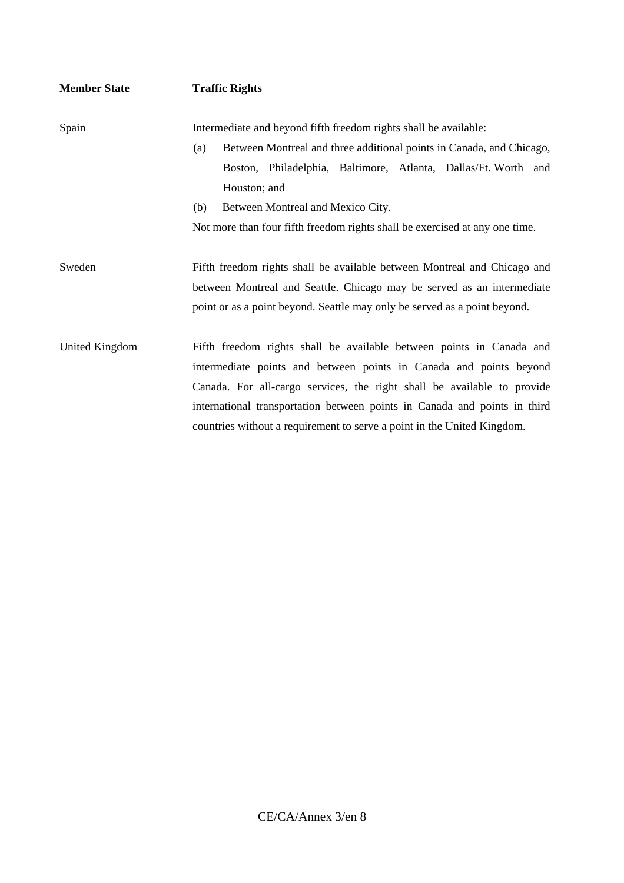| <b>Member State</b> | <b>Traffic Rights</b>                                                                                                                                                                                                           |
|---------------------|---------------------------------------------------------------------------------------------------------------------------------------------------------------------------------------------------------------------------------|
| Spain               | Intermediate and beyond fifth freedom rights shall be available:                                                                                                                                                                |
|                     | Between Montreal and three additional points in Canada, and Chicago,<br>(a)<br>Boston, Philadelphia, Baltimore, Atlanta, Dallas/Ft. Worth and<br>Houston; and                                                                   |
|                     | (b)<br>Between Montreal and Mexico City.                                                                                                                                                                                        |
|                     | Not more than four fifth freedom rights shall be exercised at any one time.                                                                                                                                                     |
| Sweden              | Fifth freedom rights shall be available between Montreal and Chicago and<br>between Montreal and Seattle. Chicago may be served as an intermediate<br>point or as a point beyond. Seattle may only be served as a point beyond. |
| United Kingdom      | Fifth freedom rights shall be available between points in Canada and<br>intermediate points and between points in Canada and points beyond<br>Canada. For all-cargo services, the right shall be available to provide           |
|                     | international transportation between points in Canada and points in third                                                                                                                                                       |
|                     | countries without a requirement to serve a point in the United Kingdom.                                                                                                                                                         |